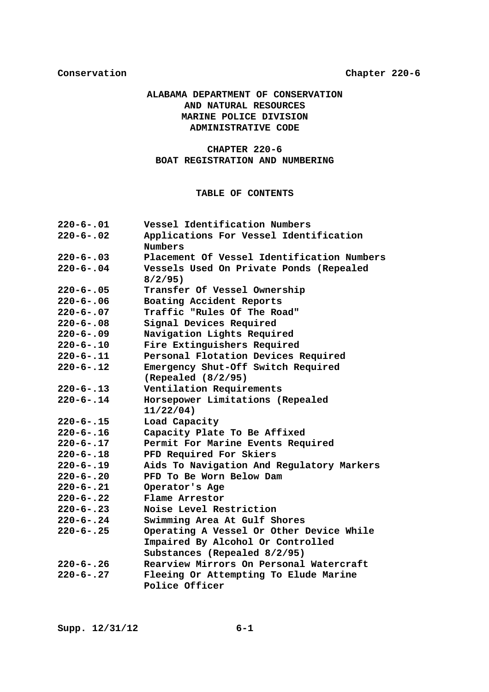# **ALABAMA DEPARTMENT OF CONSERVATION AND NATURAL RESOURCES MARINE POLICE DIVISION ADMINISTRATIVE CODE**

# **CHAPTER 220-6 BOAT REGISTRATION AND NUMBERING**

# **TABLE OF CONTENTS**

| $220 - 6 - .01$ | Vessel Identification Numbers              |  |  |  |  |
|-----------------|--------------------------------------------|--|--|--|--|
| $220 - 6 - .02$ | Applications For Vessel Identification     |  |  |  |  |
|                 | <b>Numbers</b>                             |  |  |  |  |
| $220 - 6 - .03$ | Placement Of Vessel Identification Numbers |  |  |  |  |
| $220 - 6 - .04$ | Vessels Used On Private Ponds (Repealed    |  |  |  |  |
|                 | 8/2/95                                     |  |  |  |  |
| $220 - 6 - .05$ | Transfer Of Vessel Ownership               |  |  |  |  |
| $220 - 6 - .06$ | Boating Accident Reports                   |  |  |  |  |
| $220 - 6 - .07$ | Traffic "Rules Of The Road"                |  |  |  |  |
| $220 - 6 - .08$ | Signal Devices Required                    |  |  |  |  |
| $220 - 6 - .09$ | Navigation Lights Required                 |  |  |  |  |
| $220 - 6 - .10$ | Fire Extinguishers Required                |  |  |  |  |
| $220 - 6 - .11$ | Personal Flotation Devices Required        |  |  |  |  |
| $220 - 6 - .12$ | Emergency Shut-Off Switch Required         |  |  |  |  |
|                 | (Repeated (8/2/95))                        |  |  |  |  |
| $220 - 6 - .13$ | Ventilation Requirements                   |  |  |  |  |
| $220 - 6 - .14$ | Horsepower Limitations (Repealed           |  |  |  |  |
|                 | $11/22/04$ )                               |  |  |  |  |
| $220 - 6 - .15$ | Load Capacity                              |  |  |  |  |
| $220 - 6 - .16$ | Capacity Plate To Be Affixed               |  |  |  |  |
| $220 - 6 - .17$ | Permit For Marine Events Required          |  |  |  |  |
| $220 - 6 - .18$ | PFD Required For Skiers                    |  |  |  |  |
| $220 - 6 - .19$ | Aids To Navigation And Regulatory Markers  |  |  |  |  |
| $220 - 6 - .20$ | PFD To Be Worn Below Dam                   |  |  |  |  |
| $220 - 6 - .21$ | Operator's Age                             |  |  |  |  |
| $220 - 6 - .22$ | Flame Arrestor                             |  |  |  |  |
| $220 - 6 - .23$ | Noise Level Restriction                    |  |  |  |  |
| $220 - 6 - .24$ | Swimming Area At Gulf Shores               |  |  |  |  |
| $220 - 6 - .25$ | Operating A Vessel Or Other Device While   |  |  |  |  |
|                 | Impaired By Alcohol Or Controlled          |  |  |  |  |
|                 | Substances (Repealed 8/2/95)               |  |  |  |  |
| $220 - 6 - .26$ | Rearview Mirrors On Personal Watercraft    |  |  |  |  |
| $220 - 6 - .27$ | Fleeing Or Attempting To Elude Marine      |  |  |  |  |
|                 | Police Officer                             |  |  |  |  |
|                 |                                            |  |  |  |  |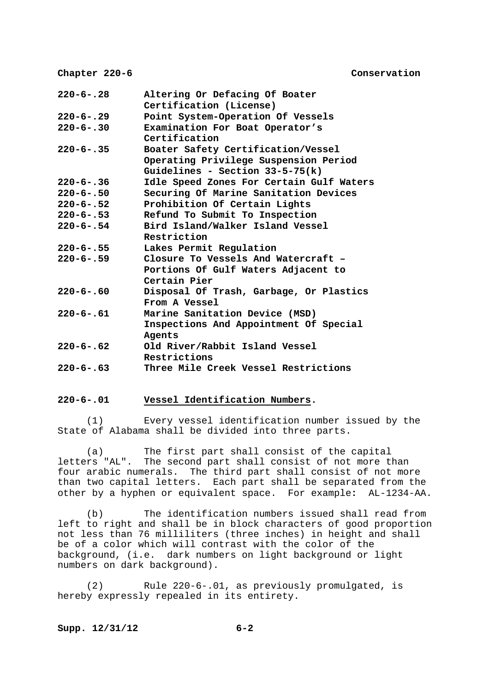| $220 - 6 - .28$ | Altering Or Defacing Of Boater           |  |  |  |  |
|-----------------|------------------------------------------|--|--|--|--|
|                 | Certification (License)                  |  |  |  |  |
| $220 - 6 - .29$ | Point System-Operation Of Vessels        |  |  |  |  |
| $220 - 6 - .30$ | Examination For Boat Operator's          |  |  |  |  |
|                 | Certification                            |  |  |  |  |
| $220 - 6 - .35$ | Boater Safety Certification/Vessel       |  |  |  |  |
|                 | Operating Privilege Suspension Period    |  |  |  |  |
|                 | Guidelines - Section $33-5-75(k)$        |  |  |  |  |
| $220 - 6 - .36$ | Idle Speed Zones For Certain Gulf Waters |  |  |  |  |
| $220 - 6 - .50$ | Securing Of Marine Sanitation Devices    |  |  |  |  |
| $220 - 6 - .52$ | Prohibition Of Certain Lights            |  |  |  |  |
| $220 - 6 - .53$ | Refund To Submit To Inspection           |  |  |  |  |
| $220 - 6 - .54$ | Bird Island/Walker Island Vessel         |  |  |  |  |
|                 | Restriction                              |  |  |  |  |
| $220 - 6 - .55$ | Lakes Permit Regulation                  |  |  |  |  |
| $220 - 6 - .59$ | Closure To Vessels And Watercraft -      |  |  |  |  |
|                 | Portions Of Gulf Waters Adjacent to      |  |  |  |  |
|                 | Certain Pier                             |  |  |  |  |
| $220 - 6 - .60$ | Disposal Of Trash, Garbage, Or Plastics  |  |  |  |  |
|                 | From A Vessel                            |  |  |  |  |
| $220 - 6 - .61$ | Marine Sanitation Device (MSD)           |  |  |  |  |
|                 | Inspections And Appointment Of Special   |  |  |  |  |
|                 | Agents                                   |  |  |  |  |
| $220 - 6 - .62$ | Old River/Rabbit Island Vessel           |  |  |  |  |
|                 | Restrictions                             |  |  |  |  |
| $220 - 6 - .63$ | Three Mile Creek Vessel Restrictions     |  |  |  |  |

## **220-6-.01 Vessel Identification Numbers.**

 (1) Every vessel identification number issued by the State of Alabama shall be divided into three parts.

 (a) The first part shall consist of the capital letters "AL". The second part shall consist of not more than four arabic numerals. The third part shall consist of not more than two capital letters. Each part shall be separated from the other by a hyphen or equivalent space. For example**:** AL-1234-AA.

 (b) The identification numbers issued shall read from left to right and shall be in block characters of good proportion not less than 76 milliliters (three inches) in height and shall be of a color which will contrast with the color of the background, (i.e. dark numbers on light background or light numbers on dark background).

 (2) Rule 220-6-.01, as previously promulgated, is hereby expressly repealed in its entirety.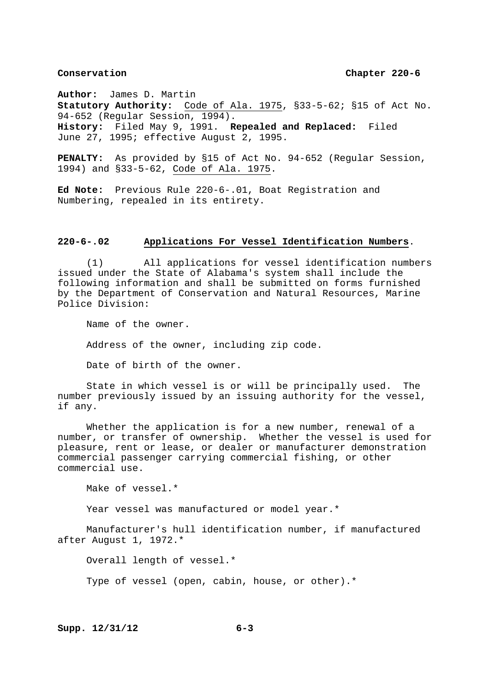**Author:** James D. Martin **Statutory Authority:** Code of Ala. 1975, §33-5-62; §15 of Act No. 94-652 (Regular Session, 1994). **History:** Filed May 9, 1991. **Repealed and Replaced:** Filed June 27, 1995; effective August 2, 1995.

**PENALTY:** As provided by §15 of Act No. 94-652 (Regular Session, 1994) and §33-5-62, Code of Ala. 1975.

**Ed Note:** Previous Rule 220-6-.01, Boat Registration and Numbering, repealed in its entirety.

# **220-6-.02 Applications For Vessel Identification Numbers**.

 (1) All applications for vessel identification numbers issued under the State of Alabama's system shall include the following information and shall be submitted on forms furnished by the Department of Conservation and Natural Resources, Marine Police Division:

 Name of the owner. Address of the owner, including zip code. Date of birth of the owner.

 State in which vessel is or will be principally used. The number previously issued by an issuing authority for the vessel, if any.

 Whether the application is for a new number, renewal of a number, or transfer of ownership. Whether the vessel is used for pleasure, rent or lease, or dealer or manufacturer demonstration commercial passenger carrying commercial fishing, or other commercial use.

Make of vessel.\*

Year vessel was manufactured or model year.\*

 Manufacturer's hull identification number, if manufactured after August 1, 1972.\*

 Overall length of vessel.\* Type of vessel (open, cabin, house, or other).\*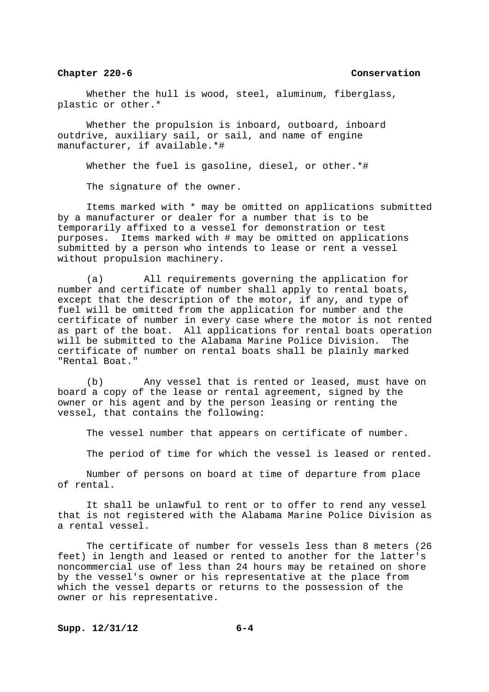Whether the hull is wood, steel, aluminum, fiberglass, plastic or other.\*

 Whether the propulsion is inboard, outboard, inboard outdrive, auxiliary sail, or sail, and name of engine manufacturer, if available.\*#

Whether the fuel is gasoline, diesel, or other.\*#

The signature of the owner.

 Items marked with \* may be omitted on applications submitted by a manufacturer or dealer for a number that is to be temporarily affixed to a vessel for demonstration or test purposes. Items marked with # may be omitted on applications submitted by a person who intends to lease or rent a vessel without propulsion machinery.

 (a) All requirements governing the application for number and certificate of number shall apply to rental boats, except that the description of the motor, if any, and type of fuel will be omitted from the application for number and the certificate of number in every case where the motor is not rented as part of the boat. All applications for rental boats operation will be submitted to the Alabama Marine Police Division. The certificate of number on rental boats shall be plainly marked "Rental Boat."

 (b) Any vessel that is rented or leased, must have on board a copy of the lease or rental agreement, signed by the owner or his agent and by the person leasing or renting the vessel, that contains the following:

The vessel number that appears on certificate of number.

The period of time for which the vessel is leased or rented.

 Number of persons on board at time of departure from place of rental.

 It shall be unlawful to rent or to offer to rend any vessel that is not registered with the Alabama Marine Police Division as a rental vessel.

 The certificate of number for vessels less than 8 meters (26 feet) in length and leased or rented to another for the latter's noncommercial use of less than 24 hours may be retained on shore by the vessel's owner or his representative at the place from which the vessel departs or returns to the possession of the owner or his representative.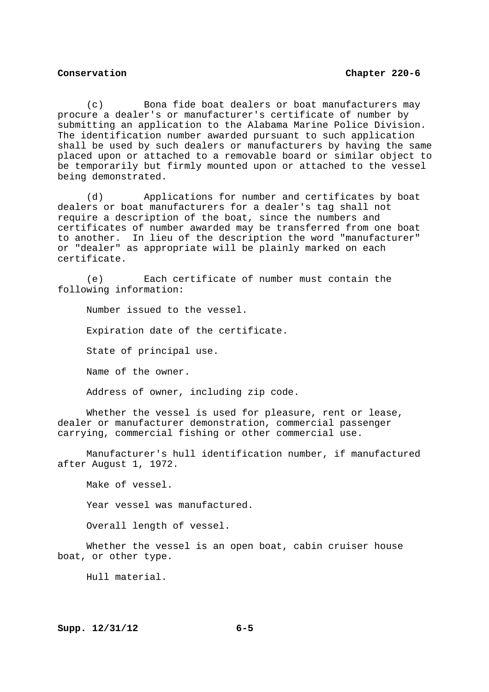(c) Bona fide boat dealers or boat manufacturers may procure a dealer's or manufacturer's certificate of number by submitting an application to the Alabama Marine Police Division. The identification number awarded pursuant to such application shall be used by such dealers or manufacturers by having the same placed upon or attached to a removable board or similar object to be temporarily but firmly mounted upon or attached to the vessel being demonstrated.

 (d) Applications for number and certificates by boat dealers or boat manufacturers for a dealer's tag shall not require a description of the boat, since the numbers and certificates of number awarded may be transferred from one boat to another. In lieu of the description the word "manufacturer" or "dealer" as appropriate will be plainly marked on each certificate.

 (e) Each certificate of number must contain the following information:

 Number issued to the vessel. Expiration date of the certificate. State of principal use. Name of the owner.

Address of owner, including zip code.

Whether the vessel is used for pleasure, rent or lease, dealer or manufacturer demonstration, commercial passenger carrying, commercial fishing or other commercial use.

 Manufacturer's hull identification number, if manufactured after August 1, 1972.

 Make of vessel. Year vessel was manufactured. Overall length of vessel.

Whether the vessel is an open boat, cabin cruiser house boat, or other type.

Hull material.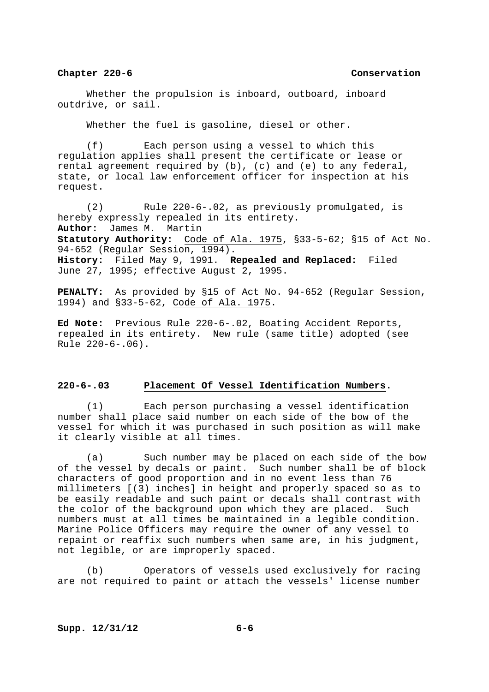Whether the propulsion is inboard, outboard, inboard outdrive, or sail.

Whether the fuel is gasoline, diesel or other.

 (f) Each person using a vessel to which this regulation applies shall present the certificate or lease or rental agreement required by (b), (c) and (e) to any federal, state, or local law enforcement officer for inspection at his request.

 (2) Rule 220-6-.02, as previously promulgated, is hereby expressly repealed in its entirety. **Author:** James M. Martin **Statutory Authority:** Code of Ala. 1975, §33-5-62; §15 of Act No. 94-652 (Regular Session, 1994). **History:** Filed May 9, 1991. **Repealed and Replaced:** Filed June 27, 1995; effective August 2, 1995.

**PENALTY:** As provided by §15 of Act No. 94-652 (Regular Session, 1994) and §33-5-62, Code of Ala. 1975.

**Ed Note:** Previous Rule 220-6-.02, Boating Accident Reports, repealed in its entirety. New rule (same title) adopted (see Rule 220-6-.06).

# **220-6-.03 Placement Of Vessel Identification Numbers.**

 (1) Each person purchasing a vessel identification number shall place said number on each side of the bow of the vessel for which it was purchased in such position as will make it clearly visible at all times.

 (a) Such number may be placed on each side of the bow of the vessel by decals or paint. Such number shall be of block characters of good proportion and in no event less than 76 millimeters [(3) inches] in height and properly spaced so as to be easily readable and such paint or decals shall contrast with the color of the background upon which they are placed. Such numbers must at all times be maintained in a legible condition. Marine Police Officers may require the owner of any vessel to repaint or reaffix such numbers when same are, in his judgment, not legible, or are improperly spaced.

 (b) Operators of vessels used exclusively for racing are not required to paint or attach the vessels' license number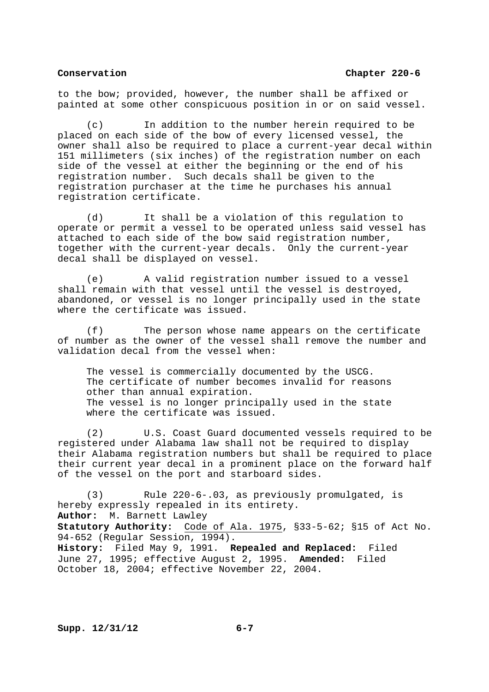to the bow; provided, however, the number shall be affixed or painted at some other conspicuous position in or on said vessel.

 (c) In addition to the number herein required to be placed on each side of the bow of every licensed vessel, the owner shall also be required to place a current-year decal within 151 millimeters (six inches) of the registration number on each side of the vessel at either the beginning or the end of his registration number. Such decals shall be given to the registration purchaser at the time he purchases his annual registration certificate.

 (d) It shall be a violation of this regulation to operate or permit a vessel to be operated unless said vessel has attached to each side of the bow said registration number, together with the current-year decals. Only the current-year decal shall be displayed on vessel.

 (e) A valid registration number issued to a vessel shall remain with that vessel until the vessel is destroyed, abandoned, or vessel is no longer principally used in the state where the certificate was issued.

 (f) The person whose name appears on the certificate of number as the owner of the vessel shall remove the number and validation decal from the vessel when:

 The vessel is commercially documented by the USCG. The certificate of number becomes invalid for reasons other than annual expiration. The vessel is no longer principally used in the state where the certificate was issued.

 (2) U.S. Coast Guard documented vessels required to be registered under Alabama law shall not be required to display their Alabama registration numbers but shall be required to place their current year decal in a prominent place on the forward half of the vessel on the port and starboard sides.

 (3) Rule 220-6-.03, as previously promulgated, is hereby expressly repealed in its entirety. **Author:** M. Barnett Lawley **Statutory Authority:** Code of Ala. 1975, §33-5-62; §15 of Act No. 94-652 (Regular Session, 1994). **History:** Filed May 9, 1991. **Repealed and Replaced:** Filed June 27, 1995; effective August 2, 1995. **Amended:** Filed October 18, 2004; effective November 22, 2004.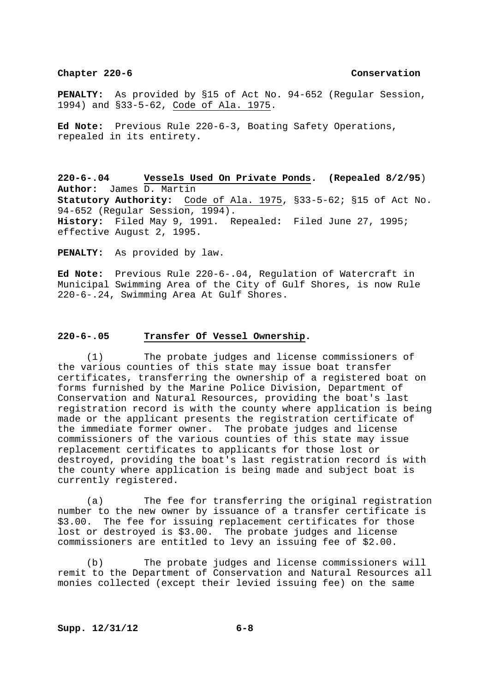**PENALTY:** As provided by §15 of Act No. 94-652 (Regular Session, 1994) and §33-5-62, Code of Ala. 1975.

**Ed Note:** Previous Rule 220-6-3, Boating Safety Operations, repealed in its entirety.

**220-6-.04 Vessels Used On Private Ponds. (Repealed 8/2/95**) **Author:** James D. Martin **Statutory Authority:** Code of Ala. 1975, §33-5-62; §15 of Act No. 94-652 (Regular Session, 1994). **History:** Filed May 9, 1991. Repealed**:** Filed June 27, 1995; effective August 2, 1995.

**PENALTY:** As provided by law.

**Ed Note:** Previous Rule 220-6-.04, Regulation of Watercraft in Municipal Swimming Area of the City of Gulf Shores, is now Rule 220-6-.24, Swimming Area At Gulf Shores.

## **220-6-.05 Transfer Of Vessel Ownership.**

 (1) The probate judges and license commissioners of the various counties of this state may issue boat transfer certificates, transferring the ownership of a registered boat on forms furnished by the Marine Police Division, Department of Conservation and Natural Resources, providing the boat's last registration record is with the county where application is being made or the applicant presents the registration certificate of the immediate former owner. The probate judges and license commissioners of the various counties of this state may issue replacement certificates to applicants for those lost or destroyed, providing the boat's last registration record is with the county where application is being made and subject boat is currently registered.

 (a) The fee for transferring the original registration number to the new owner by issuance of a transfer certificate is \$3.00. The fee for issuing replacement certificates for those lost or destroyed is \$3.00. The probate judges and license commissioners are entitled to levy an issuing fee of \$2.00.

 (b) The probate judges and license commissioners will remit to the Department of Conservation and Natural Resources all monies collected (except their levied issuing fee) on the same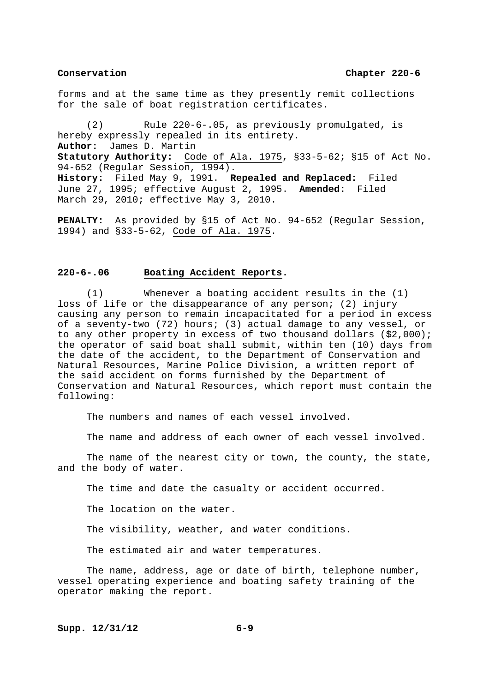forms and at the same time as they presently remit collections for the sale of boat registration certificates.

 (2) Rule 220-6-.05, as previously promulgated, is hereby expressly repealed in its entirety. **Author:** James D. Martin **Statutory Authority:** Code of Ala. 1975, §33-5-62; §15 of Act No. 94-652 (Regular Session, 1994). **History:** Filed May 9, 1991. **Repealed and Replaced:** Filed June 27, 1995; effective August 2, 1995. **Amended:** Filed March 29, 2010; effective May 3, 2010.

**PENALTY:** As provided by §15 of Act No. 94-652 (Regular Session, 1994) and §33-5-62, Code of Ala. 1975.

# **220-6-.06 Boating Accident Reports.**

 (1) Whenever a boating accident results in the (1) loss of life or the disappearance of any person; (2) injury causing any person to remain incapacitated for a period in excess of a seventy-two (72) hours; (3) actual damage to any vessel, or to any other property in excess of two thousand dollars (\$2,000); the operator of said boat shall submit, within ten (10) days from the date of the accident, to the Department of Conservation and Natural Resources, Marine Police Division, a written report of the said accident on forms furnished by the Department of Conservation and Natural Resources, which report must contain the following:

The numbers and names of each vessel involved.

The name and address of each owner of each vessel involved.

 The name of the nearest city or town, the county, the state, and the body of water.

The time and date the casualty or accident occurred.

The location on the water.

The visibility, weather, and water conditions.

The estimated air and water temperatures.

 The name, address, age or date of birth, telephone number, vessel operating experience and boating safety training of the operator making the report.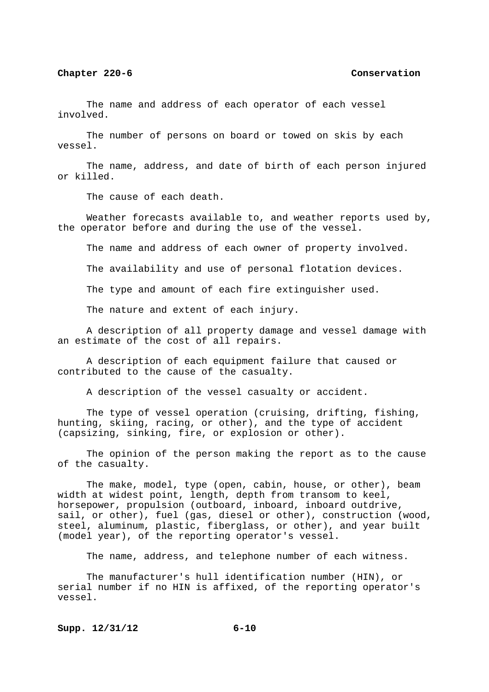The name and address of each operator of each vessel involved.

 The number of persons on board or towed on skis by each vessel.

 The name, address, and date of birth of each person injured or killed.

The cause of each death.

 Weather forecasts available to, and weather reports used by, the operator before and during the use of the vessel.

The name and address of each owner of property involved.

The availability and use of personal flotation devices.

The type and amount of each fire extinguisher used.

The nature and extent of each injury.

 A description of all property damage and vessel damage with an estimate of the cost of all repairs.

 A description of each equipment failure that caused or contributed to the cause of the casualty.

A description of the vessel casualty or accident.

 The type of vessel operation (cruising, drifting, fishing, hunting, skiing, racing, or other), and the type of accident (capsizing, sinking, fire, or explosion or other).

 The opinion of the person making the report as to the cause of the casualty.

 The make, model, type (open, cabin, house, or other), beam width at widest point, length, depth from transom to keel, horsepower, propulsion (outboard, inboard, inboard outdrive, sail, or other), fuel (gas, diesel or other), construction (wood, steel, aluminum, plastic, fiberglass, or other), and year built (model year), of the reporting operator's vessel.

The name, address, and telephone number of each witness.

 The manufacturer's hull identification number (HIN), or serial number if no HIN is affixed, of the reporting operator's vessel.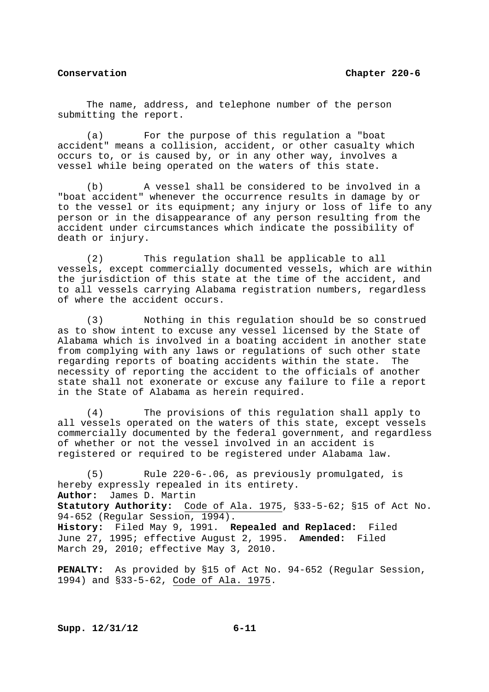The name, address, and telephone number of the person submitting the report.

 (a) For the purpose of this regulation a "boat accident" means a collision, accident, or other casualty which occurs to, or is caused by, or in any other way, involves a vessel while being operated on the waters of this state.

 (b) A vessel shall be considered to be involved in a "boat accident" whenever the occurrence results in damage by or to the vessel or its equipment; any injury or loss of life to any person or in the disappearance of any person resulting from the accident under circumstances which indicate the possibility of death or injury.

 (2) This regulation shall be applicable to all vessels, except commercially documented vessels, which are within the jurisdiction of this state at the time of the accident, and to all vessels carrying Alabama registration numbers, regardless of where the accident occurs.

 (3) Nothing in this regulation should be so construed as to show intent to excuse any vessel licensed by the State of Alabama which is involved in a boating accident in another state from complying with any laws or regulations of such other state regarding reports of boating accidents within the state. The necessity of reporting the accident to the officials of another state shall not exonerate or excuse any failure to file a report in the State of Alabama as herein required.

 (4) The provisions of this regulation shall apply to all vessels operated on the waters of this state, except vessels commercially documented by the federal government, and regardless of whether or not the vessel involved in an accident is registered or required to be registered under Alabama law.

 (5) Rule 220-6-.06, as previously promulgated, is hereby expressly repealed in its entirety. **Author:** James D. Martin **Statutory Authority:** Code of Ala. 1975, §33-5-62; §15 of Act No. 94-652 (Regular Session, 1994). **History:** Filed May 9, 1991. **Repealed and Replaced:** Filed June 27, 1995; effective August 2, 1995. **Amended:** Filed March 29, 2010; effective May 3, 2010.

**PENALTY:** As provided by §15 of Act No. 94-652 (Regular Session, 1994) and §33-5-62, Code of Ala. 1975.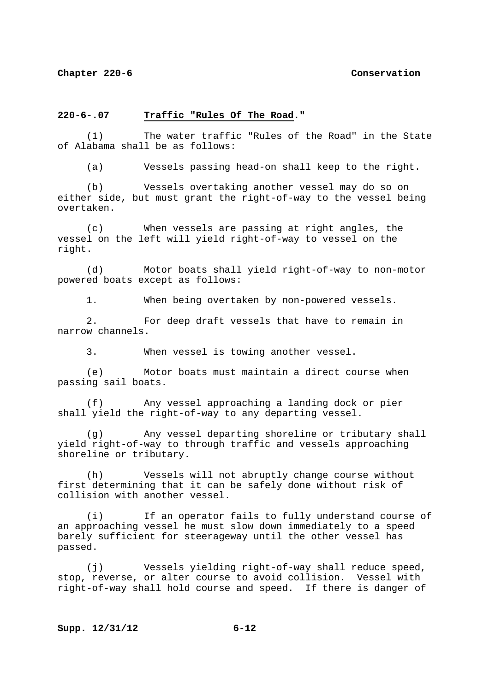### **220-6-.07 Traffic "Rules Of The Road."**

 (1) The water traffic "Rules of the Road" in the State of Alabama shall be as follows:

(a) Vessels passing head-on shall keep to the right.

 (b) Vessels overtaking another vessel may do so on either side, but must grant the right-of-way to the vessel being overtaken.

 (c) When vessels are passing at right angles, the vessel on the left will yield right-of-way to vessel on the right.

 (d) Motor boats shall yield right-of-way to non-motor powered boats except as follows:

1. When being overtaken by non-powered vessels.

 2. For deep draft vessels that have to remain in narrow channels.

3. When vessel is towing another vessel.

 (e) Motor boats must maintain a direct course when passing sail boats.

 (f) Any vessel approaching a landing dock or pier shall yield the right-of-way to any departing vessel.

 (g) Any vessel departing shoreline or tributary shall yield right-of-way to through traffic and vessels approaching shoreline or tributary.

 (h) Vessels will not abruptly change course without first determining that it can be safely done without risk of collision with another vessel.

 (i) If an operator fails to fully understand course of an approaching vessel he must slow down immediately to a speed barely sufficient for steerageway until the other vessel has passed.

 (j) Vessels yielding right-of-way shall reduce speed, stop, reverse, or alter course to avoid collision. Vessel with right-of-way shall hold course and speed. If there is danger of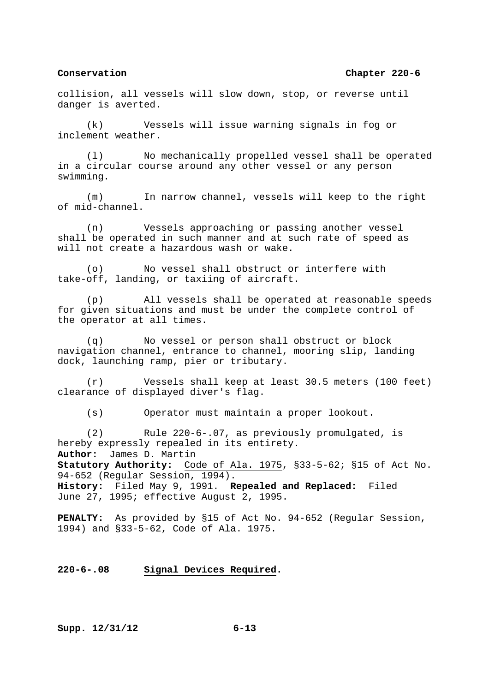collision, all vessels will slow down, stop, or reverse until danger is averted.

 (k) Vessels will issue warning signals in fog or inclement weather.

 (l) No mechanically propelled vessel shall be operated in a circular course around any other vessel or any person swimming.

 (m) In narrow channel, vessels will keep to the right of mid-channel.

 (n) Vessels approaching or passing another vessel shall be operated in such manner and at such rate of speed as will not create a hazardous wash or wake.

 (o) No vessel shall obstruct or interfere with take-off, landing, or taxiing of aircraft.

 (p) All vessels shall be operated at reasonable speeds for given situations and must be under the complete control of the operator at all times.

 (q) No vessel or person shall obstruct or block navigation channel, entrance to channel, mooring slip, landing dock, launching ramp, pier or tributary.

 (r) Vessels shall keep at least 30.5 meters (100 feet) clearance of displayed diver's flag.

(s) Operator must maintain a proper lookout.

 (2) Rule 220-6-.07, as previously promulgated, is hereby expressly repealed in its entirety. **Author:** James D. Martin **Statutory Authority:** Code of Ala. 1975, §33-5-62; §15 of Act No. 94-652 (Regular Session, 1994). **History:** Filed May 9, 1991. **Repealed and Replaced:** Filed June 27, 1995; effective August 2, 1995.

**PENALTY:** As provided by §15 of Act No. 94-652 (Regular Session, 1994) and §33-5-62, Code of Ala. 1975.

# **220-6-.08 Signal Devices Required.**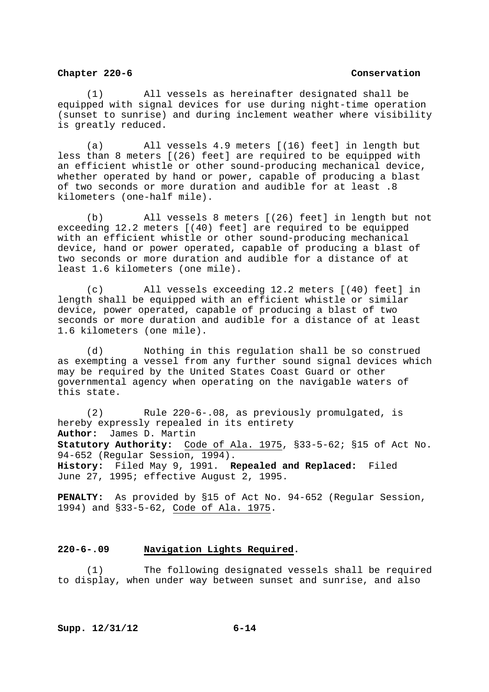(1) All vessels as hereinafter designated shall be equipped with signal devices for use during night-time operation (sunset to sunrise) and during inclement weather where visibility is greatly reduced.

 (a) All vessels 4.9 meters [(16) feet] in length but less than 8 meters [(26) feet] are required to be equipped with an efficient whistle or other sound-producing mechanical device, whether operated by hand or power, capable of producing a blast of two seconds or more duration and audible for at least .8 kilometers (one-half mile).

 (b) All vessels 8 meters [(26) feet] in length but not exceeding 12.2 meters [(40) feet] are required to be equipped with an efficient whistle or other sound-producing mechanical device, hand or power operated, capable of producing a blast of two seconds or more duration and audible for a distance of at least 1.6 kilometers (one mile).

 (c) All vessels exceeding 12.2 meters [(40) feet] in length shall be equipped with an efficient whistle or similar device, power operated, capable of producing a blast of two seconds or more duration and audible for a distance of at least 1.6 kilometers (one mile).

 (d) Nothing in this regulation shall be so construed as exempting a vessel from any further sound signal devices which may be required by the United States Coast Guard or other governmental agency when operating on the navigable waters of this state.

 (2) Rule 220-6-.08, as previously promulgated, is hereby expressly repealed in its entirety **Author:** James D. Martin **Statutory Authority:** Code of Ala. 1975, §33-5-62; §15 of Act No. 94-652 (Regular Session, 1994). **History:** Filed May 9, 1991. **Repealed and Replaced:** Filed June 27, 1995; effective August 2, 1995.

**PENALTY:** As provided by §15 of Act No. 94-652 (Regular Session, 1994) and §33-5-62, Code of Ala. 1975.

# **220-6-.09 Navigation Lights Required.**

 (1) The following designated vessels shall be required to display, when under way between sunset and sunrise, and also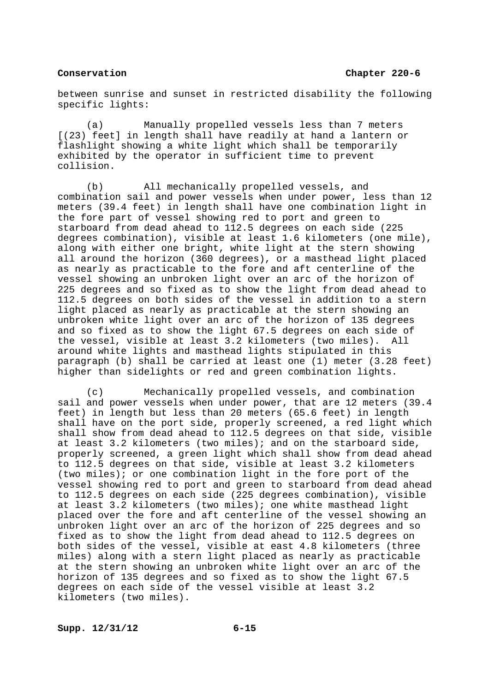between sunrise and sunset in restricted disability the following specific lights:

 (a) Manually propelled vessels less than 7 meters [(23) feet] in length shall have readily at hand a lantern or flashlight showing a white light which shall be temporarily exhibited by the operator in sufficient time to prevent collision.

 (b) All mechanically propelled vessels, and combination sail and power vessels when under power, less than 12 meters (39.4 feet) in length shall have one combination light in the fore part of vessel showing red to port and green to starboard from dead ahead to 112.5 degrees on each side (225 degrees combination), visible at least 1.6 kilometers (one mile), along with either one bright, white light at the stern showing all around the horizon (360 degrees), or a masthead light placed as nearly as practicable to the fore and aft centerline of the vessel showing an unbroken light over an arc of the horizon of 225 degrees and so fixed as to show the light from dead ahead to 112.5 degrees on both sides of the vessel in addition to a stern light placed as nearly as practicable at the stern showing an unbroken white light over an arc of the horizon of 135 degrees and so fixed as to show the light 67.5 degrees on each side of the vessel, visible at least 3.2 kilometers (two miles). All around white lights and masthead lights stipulated in this paragraph (b) shall be carried at least one (1) meter (3.28 feet) higher than sidelights or red and green combination lights.

 (c) Mechanically propelled vessels, and combination sail and power vessels when under power, that are 12 meters (39.4 feet) in length but less than 20 meters (65.6 feet) in length shall have on the port side, properly screened, a red light which shall show from dead ahead to 112.5 degrees on that side, visible at least 3.2 kilometers (two miles); and on the starboard side, properly screened, a green light which shall show from dead ahead to 112.5 degrees on that side, visible at least 3.2 kilometers (two miles); or one combination light in the fore port of the vessel showing red to port and green to starboard from dead ahead to 112.5 degrees on each side (225 degrees combination), visible at least 3.2 kilometers (two miles); one white masthead light placed over the fore and aft centerline of the vessel showing an unbroken light over an arc of the horizon of 225 degrees and so fixed as to show the light from dead ahead to 112.5 degrees on both sides of the vessel, visible at east 4.8 kilometers (three miles) along with a stern light placed as nearly as practicable at the stern showing an unbroken white light over an arc of the horizon of 135 degrees and so fixed as to show the light 67.5 degrees on each side of the vessel visible at least 3.2 kilometers (two miles).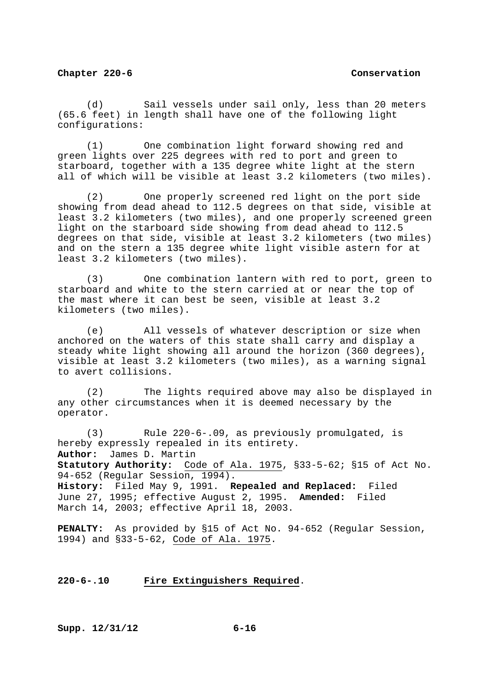(d) Sail vessels under sail only, less than 20 meters (65.6 feet) in length shall have one of the following light configurations:

 (1) One combination light forward showing red and green lights over 225 degrees with red to port and green to starboard, together with a 135 degree white light at the stern all of which will be visible at least 3.2 kilometers (two miles).

 (2) One properly screened red light on the port side showing from dead ahead to 112.5 degrees on that side, visible at least 3.2 kilometers (two miles), and one properly screened green light on the starboard side showing from dead ahead to 112.5 degrees on that side, visible at least 3.2 kilometers (two miles) and on the stern a 135 degree white light visible astern for at least 3.2 kilometers (two miles).

 (3) One combination lantern with red to port, green to starboard and white to the stern carried at or near the top of the mast where it can best be seen, visible at least 3.2 kilometers (two miles).

 (e) All vessels of whatever description or size when anchored on the waters of this state shall carry and display a steady white light showing all around the horizon (360 degrees), visible at least 3.2 kilometers (two miles), as a warning signal to avert collisions.

 (2) The lights required above may also be displayed in any other circumstances when it is deemed necessary by the operator.

 (3) Rule 220-6-.09, as previously promulgated, is hereby expressly repealed in its entirety. **Author:** James D. Martin **Statutory Authority:** Code of Ala. 1975, §33-5-62; §15 of Act No. 94-652 (Regular Session, 1994). **History:** Filed May 9, 1991. **Repealed and Replaced:** Filed June 27, 1995; effective August 2, 1995. **Amended:** Filed

March 14, 2003; effective April 18, 2003.

**PENALTY:** As provided by §15 of Act No. 94-652 (Regular Session, 1994) and §33-5-62, Code of Ala. 1975.

**220-6-.10 Fire Extinguishers Required**.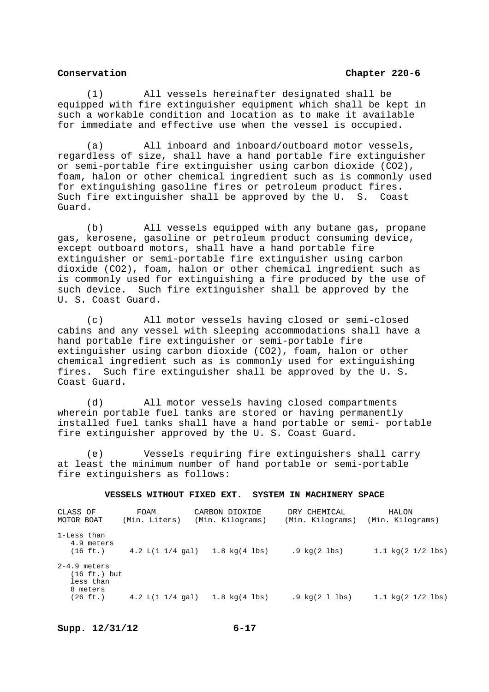(1) All vessels hereinafter designated shall be equipped with fire extinguisher equipment which shall be kept in such a workable condition and location as to make it available for immediate and effective use when the vessel is occupied.

 (a) All inboard and inboard/outboard motor vessels, regardless of size, shall have a hand portable fire extinguisher or semi-portable fire extinguisher using carbon dioxide (CO2), foam, halon or other chemical ingredient such as is commonly used for extinguishing gasoline fires or petroleum product fires. Such fire extinguisher shall be approved by the U. S. Coast Guard.

 (b) All vessels equipped with any butane gas, propane gas, kerosene, gasoline or petroleum product consuming device, except outboard motors, shall have a hand portable fire extinguisher or semi-portable fire extinguisher using carbon dioxide (CO2), foam, halon or other chemical ingredient such as is commonly used for extinguishing a fire produced by the use of such device. Such fire extinguisher shall be approved by the U. S. Coast Guard.

 (c) All motor vessels having closed or semi-closed cabins and any vessel with sleeping accommodations shall have a hand portable fire extinguisher or semi-portable fire extinguisher using carbon dioxide (CO2), foam, halon or other chemical ingredient such as is commonly used for extinguishing fires. Such fire extinguisher shall be approved by the U. S. Coast Guard.

 (d) All motor vessels having closed compartments wherein portable fuel tanks are stored or having permanently installed fuel tanks shall have a hand portable or semi- portable fire extinguisher approved by the U. S. Coast Guard.

 (e) Vessels requiring fire extinguishers shall carry at least the minimum number of hand portable or semi-portable fire extinguishers as follows:

## **VESSELS WITHOUT FIXED EXT. SYSTEM IN MACHINERY SPACE**

| CLASS OF<br>MOTOR BOAT                                              | FOAM<br>(Min. Liters) | CARBON DIOXIDE<br>(Min. Kilograms) | DRY CHEMICAL<br>(Min. Kilograms)      | HALON<br>(Min. Kilograms)                    |
|---------------------------------------------------------------------|-----------------------|------------------------------------|---------------------------------------|----------------------------------------------|
| 1-Less than<br>4.9 meters<br>$(16 \text{ ft.})$                     |                       | $4.2 L(1 1/4 gal)$ $1.8 kq(4 lbs)$ | $.9 \text{ kg} (2 \text{ lbs})$       | $1.1 \text{ kg} (2 \frac{1}{2} \text{ lbs})$ |
| $2-4.9$ meters<br>(16 ft.) but<br>less than<br>8 meters<br>(26 ft.) |                       | 4.2 L(1 $1/4$ gal) 1.8 kg(4 lbs)   | $.9 \ \text{kg} (2 \ 1 \ \text{lbs})$ | $1.1 \text{ kg}(2 \frac{1}{2} \text{ lbs})$  |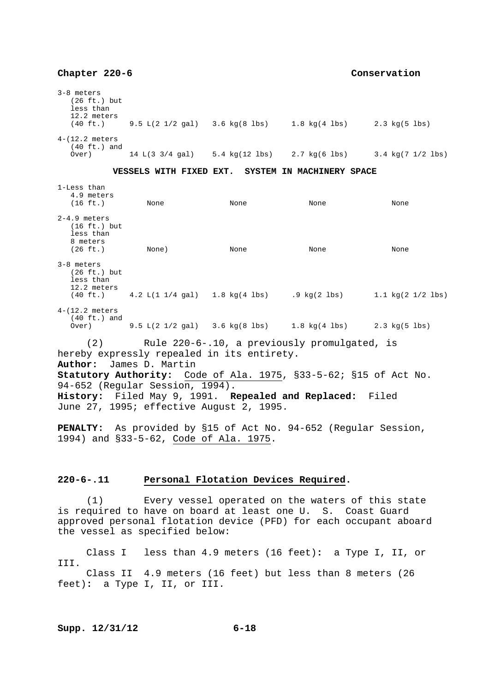3-8 meters (26 ft.) but less than 12.2 meters (40 ft.) 9.5 L(2 1/2 gal) 3.6 kg(8 lbs) 1.8 kg(4 lbs) 2.3 kg(5 lbs) 4-(12.2 meters  $(40 \text{ ft.})$  and<br>Over) 14 L(3 3/4 gal) Over) 14 L(3 3/4 gal) 5.4 kg(12 lbs) 2.7 kg(6 lbs) 3.4 kg(7 1/2 lbs) **VESSELS WITH FIXED EXT. SYSTEM IN MACHINERY SPACE**  1-Less than 4.9 meters<br> $(16 \text{ ft.})$  (16 ft.) None None None None 2-4.9 meters (16 ft.) but less than 8 meters<br>(26 ft.) (26 ft.) None) None None None 3-8 meters (26 ft.) but less than 12.2 meters<br> $(40 \text{ ft.})$  $(4.2 \text{ L}(1 \text{ 1/4 gal})$   $(1.8 \text{ kg}(4 \text{ lbs})$   $(9 \text{ kg}(2 \text{ lbs})$   $(1.1 \text{ kg}(2 \text{ 1/2 lbs}))$ 4-(12.2 meters (40 ft.) and Over) 9.5 L(2 1/2 gal) 3.6 kg(8 lbs) 1.8 kg(4 lbs) 2.3 kg(5 lbs) (2) Rule 220-6-.10, a previously promulgated, is hereby expressly repealed in its entirety. **Author:** James D. Martin **Statutory Authority:** Code of Ala. 1975, §33-5-62; §15 of Act No. 94-652 (Regular Session, 1994). **History:** Filed May 9, 1991. **Repealed and Replaced:** Filed June 27, 1995; effective August 2, 1995.

**PENALTY:** As provided by §15 of Act No. 94-652 (Regular Session, 1994) and §33-5-62, Code of Ala. 1975.

## **220-6-.11 Personal Flotation Devices Required.**

 (1) Every vessel operated on the waters of this state is required to have on board at least one U. S. Coast Guard approved personal flotation device (PFD) for each occupant aboard the vessel as specified below:

 Class I less than 4.9 meters (16 feet)**:** a Type I, II, or III. Class II 4.9 meters (16 feet) but less than 8 meters (26 feet)**:** a Type I, II, or III.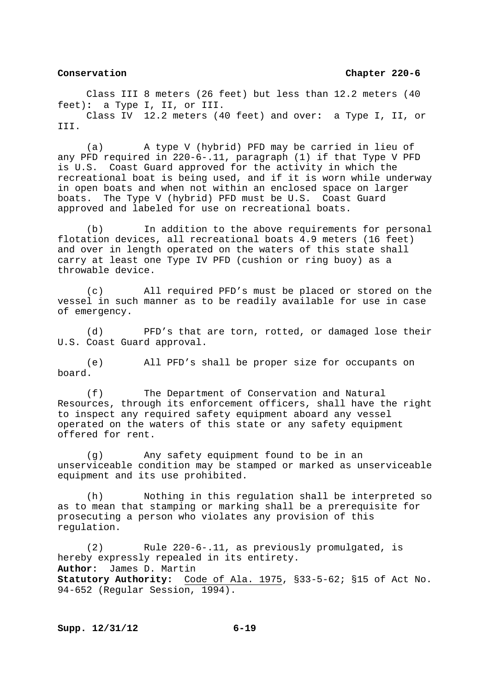Class III 8 meters (26 feet) but less than 12.2 meters (40 feet)**:** a Type I, II, or III. Class IV 12.2 meters (40 feet) and over**:** a Type I, II, or III.

 (a) A type V (hybrid) PFD may be carried in lieu of any PFD required in 220-6-.11, paragraph (1) if that Type V PFD is U.S. Coast Guard approved for the activity in which the recreational boat is being used, and if it is worn while underway in open boats and when not within an enclosed space on larger boats. The Type V (hybrid) PFD must be U.S. Coast Guard approved and labeled for use on recreational boats.

 (b) In addition to the above requirements for personal flotation devices, all recreational boats 4.9 meters (16 feet) and over in length operated on the waters of this state shall carry at least one Type IV PFD (cushion or ring buoy) as a throwable device.

 (c) All required PFD's must be placed or stored on the vessel in such manner as to be readily available for use in case of emergency.

 (d) PFD's that are torn, rotted, or damaged lose their U.S. Coast Guard approval.

 (e) All PFD's shall be proper size for occupants on board.

 (f) The Department of Conservation and Natural Resources, through its enforcement officers, shall have the right to inspect any required safety equipment aboard any vessel operated on the waters of this state or any safety equipment offered for rent.

 (g) Any safety equipment found to be in an unserviceable condition may be stamped or marked as unserviceable equipment and its use prohibited.

 (h) Nothing in this regulation shall be interpreted so as to mean that stamping or marking shall be a prerequisite for prosecuting a person who violates any provision of this regulation.

 (2) Rule 220-6-.11, as previously promulgated, is hereby expressly repealed in its entirety. **Author:** James D. Martin **Statutory Authority:** Code of Ala. 1975, §33-5-62; §15 of Act No. 94-652 (Regular Session, 1994).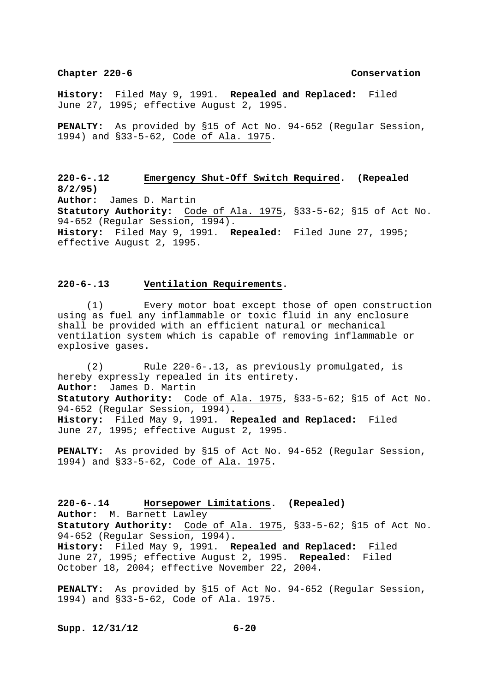**History:** Filed May 9, 1991. **Repealed and Replaced:** Filed June 27, 1995; effective August 2, 1995.

**PENALTY:** As provided by §15 of Act No. 94-652 (Regular Session, 1994) and §33-5-62, Code of Ala. 1975.

**220-6-.12 Emergency Shut-Off Switch Required. (Repealed 8/2/95) Author:** James D. Martin **Statutory Authority:** Code of Ala. 1975, §33-5-62; §15 of Act No. 94-652 (Regular Session, 1994). **History:** Filed May 9, 1991. **Repealed:** Filed June 27, 1995; effective August 2, 1995.

## **220-6-.13 Ventilation Requirements.**

 (1) Every motor boat except those of open construction using as fuel any inflammable or toxic fluid in any enclosure shall be provided with an efficient natural or mechanical ventilation system which is capable of removing inflammable or explosive gases.

 (2) Rule 220-6-.13, as previously promulgated, is hereby expressly repealed in its entirety. **Author:** James D. Martin **Statutory Authority:** Code of Ala. 1975, §33-5-62; §15 of Act No. 94-652 (Regular Session, 1994). **History:** Filed May 9, 1991. **Repealed and Replaced:** Filed June 27, 1995; effective August 2, 1995.

**PENALTY:** As provided by §15 of Act No. 94-652 (Regular Session, 1994) and §33-5-62, Code of Ala. 1975.

**220-6-.14 Horsepower Limitations. (Repealed) Author:** M. Barnett Lawley **Statutory Authority:** Code of Ala. 1975, §33-5-62; §15 of Act No. 94-652 (Regular Session, 1994). **History:** Filed May 9, 1991. **Repealed and Replaced:** Filed June 27, 1995; effective August 2, 1995. **Repealed:** Filed October 18, 2004; effective November 22, 2004.

**PENALTY:** As provided by §15 of Act No. 94-652 (Regular Session, 1994) and §33-5-62, Code of Ala. 1975.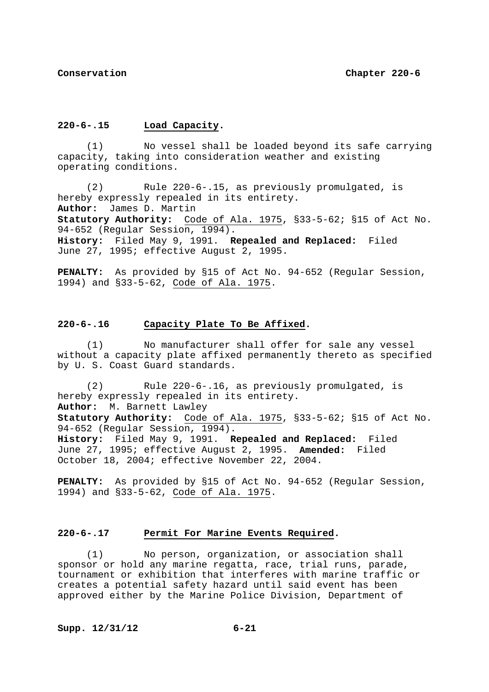## **220-6-.15 Load Capacity.**

 (1) No vessel shall be loaded beyond its safe carrying capacity, taking into consideration weather and existing operating conditions.

 (2) Rule 220-6-.15, as previously promulgated, is hereby expressly repealed in its entirety. **Author:** James D. Martin **Statutory Authority:** Code of Ala. 1975, §33-5-62; §15 of Act No. 94-652 (Regular Session, 1994). **History:** Filed May 9, 1991. **Repealed and Replaced:** Filed June 27, 1995; effective August 2, 1995.

**PENALTY:** As provided by §15 of Act No. 94-652 (Regular Session, 1994) and §33-5-62, Code of Ala. 1975.

## **220-6-.16 Capacity Plate To Be Affixed.**

 (1) No manufacturer shall offer for sale any vessel without a capacity plate affixed permanently thereto as specified by U. S. Coast Guard standards.

 (2) Rule 220-6-.16, as previously promulgated, is hereby expressly repealed in its entirety. **Author:** M. Barnett Lawley **Statutory Authority:** Code of Ala. 1975, §33-5-62; §15 of Act No. 94-652 (Regular Session, 1994). **History:** Filed May 9, 1991. **Repealed and Replaced:** Filed June 27, 1995; effective August 2, 1995. **Amended:** Filed October 18, 2004; effective November 22, 2004.

**PENALTY:** As provided by §15 of Act No. 94-652 (Regular Session, 1994) and §33-5-62, Code of Ala. 1975.

## **220-6-.17 Permit For Marine Events Required.**

 (1) No person, organization, or association shall sponsor or hold any marine regatta, race, trial runs, parade, tournament or exhibition that interferes with marine traffic or creates a potential safety hazard until said event has been approved either by the Marine Police Division, Department of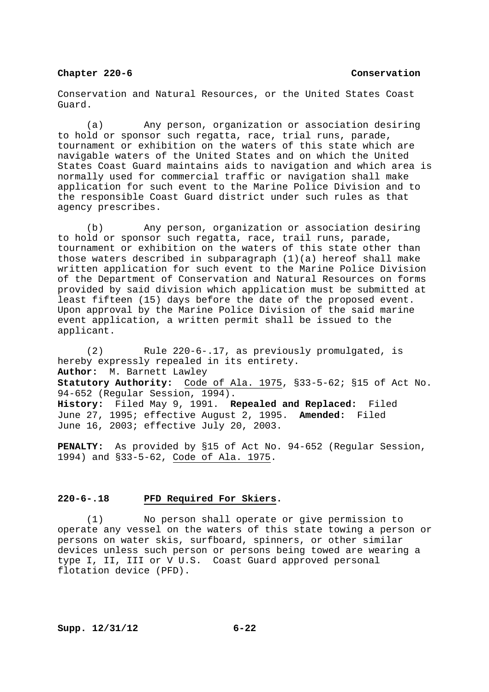Conservation and Natural Resources, or the United States Coast Guard.

 (a) Any person, organization or association desiring to hold or sponsor such regatta, race, trial runs, parade, tournament or exhibition on the waters of this state which are navigable waters of the United States and on which the United States Coast Guard maintains aids to navigation and which area is normally used for commercial traffic or navigation shall make application for such event to the Marine Police Division and to the responsible Coast Guard district under such rules as that agency prescribes.

 (b) Any person, organization or association desiring to hold or sponsor such regatta, race, trail runs, parade, tournament or exhibition on the waters of this state other than those waters described in subparagraph (1)(a) hereof shall make written application for such event to the Marine Police Division of the Department of Conservation and Natural Resources on forms provided by said division which application must be submitted at least fifteen (15) days before the date of the proposed event. Upon approval by the Marine Police Division of the said marine event application, a written permit shall be issued to the applicant.

 (2) Rule 220-6-.17, as previously promulgated, is hereby expressly repealed in its entirety. **Author:** M. Barnett Lawley **Statutory Authority:** Code of Ala. 1975, §33-5-62; §15 of Act No. 94-652 (Regular Session, 1994). **History:** Filed May 9, 1991. **Repealed and Replaced:** Filed June 27, 1995; effective August 2, 1995. **Amended:** Filed June 16, 2003; effective July 20, 2003.

**PENALTY:** As provided by §15 of Act No. 94-652 (Regular Session, 1994) and §33-5-62, Code of Ala. 1975.

# **220-6-.18 PFD Required For Skiers.**

 (1) No person shall operate or give permission to operate any vessel on the waters of this state towing a person or persons on water skis, surfboard, spinners, or other similar devices unless such person or persons being towed are wearing a type I, II, III or V U.S. Coast Guard approved personal flotation device (PFD).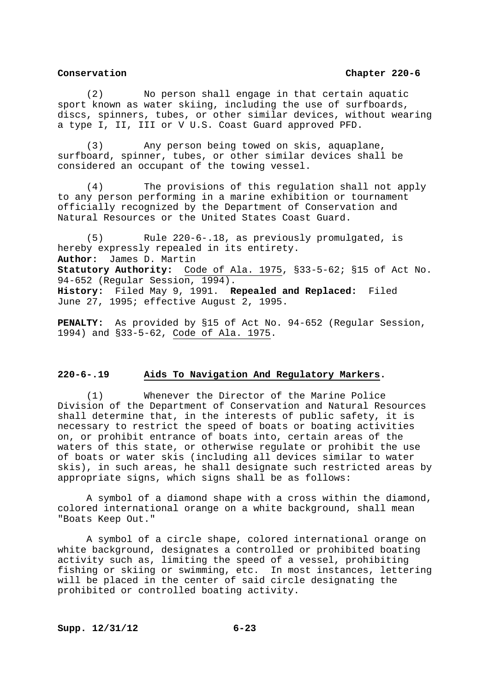(2) No person shall engage in that certain aquatic sport known as water skiing, including the use of surfboards, discs, spinners, tubes, or other similar devices, without wearing a type I, II, III or V U.S. Coast Guard approved PFD.

 (3) Any person being towed on skis, aquaplane, surfboard, spinner, tubes, or other similar devices shall be considered an occupant of the towing vessel.

 (4) The provisions of this regulation shall not apply to any person performing in a marine exhibition or tournament officially recognized by the Department of Conservation and Natural Resources or the United States Coast Guard.

 (5) Rule 220-6-.18, as previously promulgated, is hereby expressly repealed in its entirety. **Author:** James D. Martin **Statutory Authority:** Code of Ala. 1975, §33-5-62; §15 of Act No. 94-652 (Regular Session, 1994). **History:** Filed May 9, 1991. **Repealed and Replaced:** Filed June 27, 1995; effective August 2, 1995.

**PENALTY:** As provided by §15 of Act No. 94-652 (Regular Session, 1994) and §33-5-62, Code of Ala. 1975.

# **220-6-.19 Aids To Navigation And Regulatory Markers.**

 (1) Whenever the Director of the Marine Police Division of the Department of Conservation and Natural Resources shall determine that, in the interests of public safety, it is necessary to restrict the speed of boats or boating activities on, or prohibit entrance of boats into, certain areas of the waters of this state, or otherwise regulate or prohibit the use of boats or water skis (including all devices similar to water skis), in such areas, he shall designate such restricted areas by appropriate signs, which signs shall be as follows:

 A symbol of a diamond shape with a cross within the diamond, colored international orange on a white background, shall mean "Boats Keep Out."

 A symbol of a circle shape, colored international orange on white background, designates a controlled or prohibited boating activity such as, limiting the speed of a vessel, prohibiting fishing or skiing or swimming, etc. In most instances, lettering will be placed in the center of said circle designating the prohibited or controlled boating activity.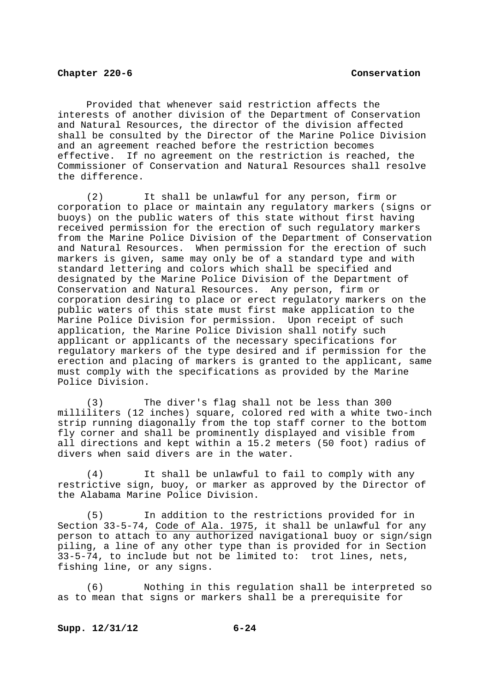Provided that whenever said restriction affects the interests of another division of the Department of Conservation and Natural Resources, the director of the division affected shall be consulted by the Director of the Marine Police Division and an agreement reached before the restriction becomes effective. If no agreement on the restriction is reached, the Commissioner of Conservation and Natural Resources shall resolve the difference.

 (2) It shall be unlawful for any person, firm or corporation to place or maintain any regulatory markers (signs or buoys) on the public waters of this state without first having received permission for the erection of such regulatory markers from the Marine Police Division of the Department of Conservation and Natural Resources. When permission for the erection of such markers is given, same may only be of a standard type and with standard lettering and colors which shall be specified and designated by the Marine Police Division of the Department of Conservation and Natural Resources. Any person, firm or corporation desiring to place or erect regulatory markers on the public waters of this state must first make application to the Marine Police Division for permission. Upon receipt of such application, the Marine Police Division shall notify such applicant or applicants of the necessary specifications for regulatory markers of the type desired and if permission for the erection and placing of markers is granted to the applicant, same must comply with the specifications as provided by the Marine Police Division.

 (3) The diver's flag shall not be less than 300 milliliters (12 inches) square, colored red with a white two-inch strip running diagonally from the top staff corner to the bottom fly corner and shall be prominently displayed and visible from all directions and kept within a 15.2 meters (50 foot) radius of divers when said divers are in the water.

 (4) It shall be unlawful to fail to comply with any restrictive sign, buoy, or marker as approved by the Director of the Alabama Marine Police Division.

 (5) In addition to the restrictions provided for in Section 33-5-74, Code of Ala. 1975, it shall be unlawful for any person to attach to any authorized navigational buoy or sign/sign piling, a line of any other type than is provided for in Section 33-5-74, to include but not be limited to: trot lines, nets, fishing line, or any signs.

 (6) Nothing in this regulation shall be interpreted so as to mean that signs or markers shall be a prerequisite for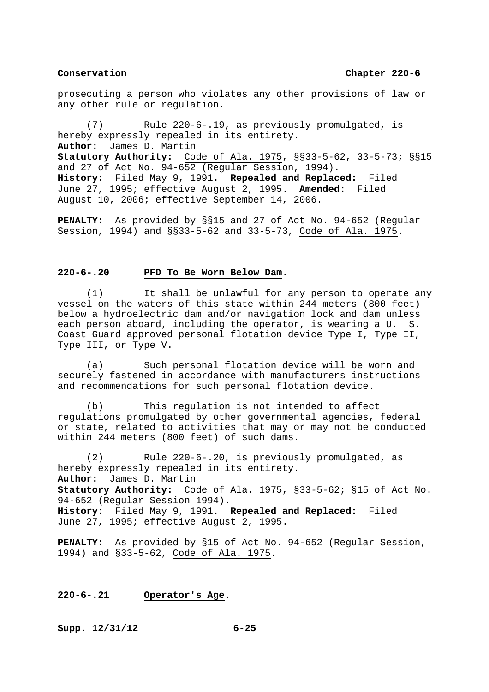prosecuting a person who violates any other provisions of law or any other rule or regulation.

 (7) Rule 220-6-.19, as previously promulgated, is hereby expressly repealed in its entirety. **Author:** James D. Martin **Statutory Authority:** Code of Ala. 1975, §§33-5-62, 33-5-73; §§15 and 27 of Act No. 94-652 (Regular Session, 1994). **History:** Filed May 9, 1991. **Repealed and Replaced:** Filed June 27, 1995; effective August 2, 1995. **Amended:** Filed August 10, 2006; effective September 14, 2006.

**PENALTY:** As provided by §§15 and 27 of Act No. 94-652 (Regular Session, 1994) and §§33-5-62 and 33-5-73, Code of Ala. 1975.

# **220-6-.20 PFD To Be Worn Below Dam.**

 (1) It shall be unlawful for any person to operate any vessel on the waters of this state within 244 meters (800 feet) below a hydroelectric dam and/or navigation lock and dam unless each person aboard, including the operator, is wearing a U. S. Coast Guard approved personal flotation device Type I, Type II, Type III, or Type V.

 (a) Such personal flotation device will be worn and securely fastened in accordance with manufacturers instructions and recommendations for such personal flotation device.

 (b) This regulation is not intended to affect regulations promulgated by other governmental agencies, federal or state, related to activities that may or may not be conducted within 244 meters (800 feet) of such dams.

 (2) Rule 220-6-.20, is previously promulgated, as hereby expressly repealed in its entirety. **Author:** James D. Martin **Statutory Authority:** Code of Ala. 1975, §33-5-62; §15 of Act No. 94-652 (Regular Session 1994). **History:** Filed May 9, 1991. **Repealed and Replaced:** Filed June 27, 1995; effective August 2, 1995.

**PENALTY:** As provided by §15 of Act No. 94-652 (Regular Session, 1994) and §33-5-62, Code of Ala. 1975.

### **220-6-.21 Operator's Age**.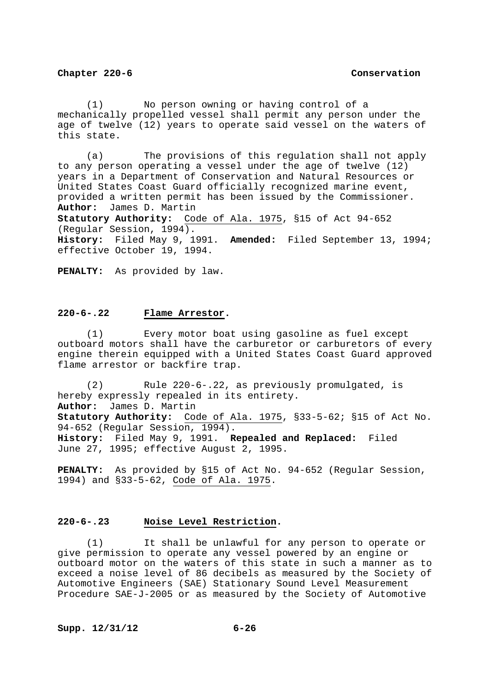(1) No person owning or having control of a mechanically propelled vessel shall permit any person under the age of twelve (12) years to operate said vessel on the waters of this state.

 (a) The provisions of this regulation shall not apply to any person operating a vessel under the age of twelve (12) years in a Department of Conservation and Natural Resources or United States Coast Guard officially recognized marine event, provided a written permit has been issued by the Commissioner. **Author:** James D. Martin **Statutory Authority:** Code of Ala. 1975, §15 of Act 94-652 (Regular Session, 1994). **History:** Filed May 9, 1991. **Amended:** Filed September 13, 1994; effective October 19, 1994.

**PENALTY:** As provided by law.

# **220-6-.22 Flame Arrestor.**

 (1) Every motor boat using gasoline as fuel except outboard motors shall have the carburetor or carburetors of every engine therein equipped with a United States Coast Guard approved flame arrestor or backfire trap.

 (2) Rule 220-6-.22, as previously promulgated, is hereby expressly repealed in its entirety. **Author:** James D. Martin **Statutory Authority:** Code of Ala. 1975, §33-5-62; §15 of Act No. 94-652 (Regular Session, 1994). **History:** Filed May 9, 1991. **Repealed and Replaced:** Filed June 27, 1995; effective August 2, 1995.

**PENALTY:** As provided by §15 of Act No. 94-652 (Regular Session, 1994) and §33-5-62, Code of Ala. 1975.

# **220-6-.23 Noise Level Restriction.**

 (1) It shall be unlawful for any person to operate or give permission to operate any vessel powered by an engine or outboard motor on the waters of this state in such a manner as to exceed a noise level of 86 decibels as measured by the Society of Automotive Engineers (SAE) Stationary Sound Level Measurement Procedure SAE-J-2005 or as measured by the Society of Automotive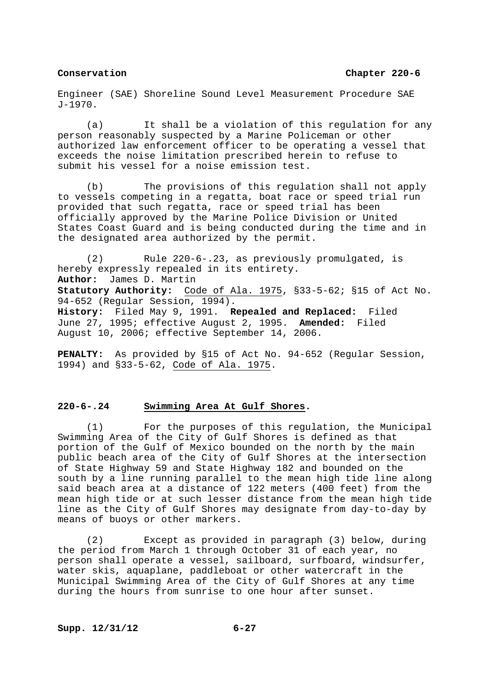Engineer (SAE) Shoreline Sound Level Measurement Procedure SAE J-1970.

 (a) It shall be a violation of this regulation for any person reasonably suspected by a Marine Policeman or other authorized law enforcement officer to be operating a vessel that exceeds the noise limitation prescribed herein to refuse to submit his vessel for a noise emission test.

 (b) The provisions of this regulation shall not apply to vessels competing in a regatta, boat race or speed trial run provided that such regatta, race or speed trial has been officially approved by the Marine Police Division or United States Coast Guard and is being conducted during the time and in the designated area authorized by the permit.

 (2) Rule 220-6-.23, as previously promulgated, is hereby expressly repealed in its entirety. **Author:** James D. Martin **Statutory Authority:** Code of Ala. 1975, §33-5-62; §15 of Act No. 94-652 (Regular Session, 1994). **History:** Filed May 9, 1991. **Repealed and Replaced:** Filed June 27, 1995; effective August 2, 1995. **Amended:** Filed August 10, 2006; effective September 14, 2006.

**PENALTY:** As provided by §15 of Act No. 94-652 (Regular Session, 1994) and §33-5-62, Code of Ala. 1975.

# **220-6-.24 Swimming Area At Gulf Shores.**

 (1) For the purposes of this regulation, the Municipal Swimming Area of the City of Gulf Shores is defined as that portion of the Gulf of Mexico bounded on the north by the main public beach area of the City of Gulf Shores at the intersection of State Highway 59 and State Highway 182 and bounded on the south by a line running parallel to the mean high tide line along said beach area at a distance of 122 meters (400 feet) from the mean high tide or at such lesser distance from the mean high tide line as the City of Gulf Shores may designate from day-to-day by means of buoys or other markers.

 (2) Except as provided in paragraph (3) below, during the period from March 1 through October 31 of each year, no person shall operate a vessel, sailboard, surfboard, windsurfer, water skis, aquaplane, paddleboat or other watercraft in the Municipal Swimming Area of the City of Gulf Shores at any time during the hours from sunrise to one hour after sunset.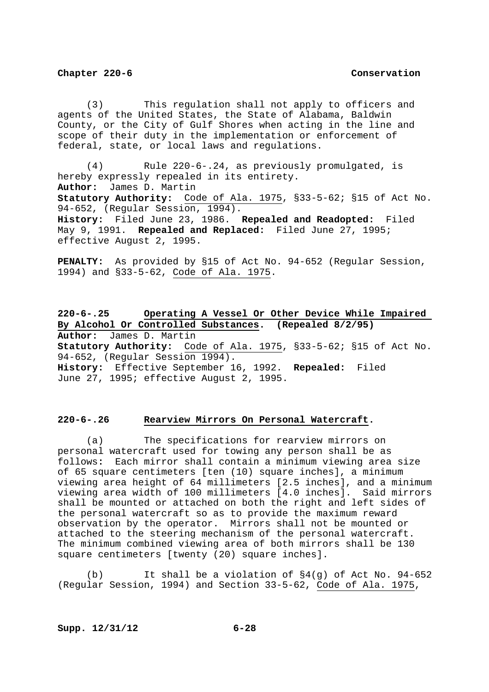(3) This regulation shall not apply to officers and agents of the United States, the State of Alabama, Baldwin County, or the City of Gulf Shores when acting in the line and scope of their duty in the implementation or enforcement of federal, state, or local laws and regulations.

 (4) Rule 220-6-.24, as previously promulgated, is hereby expressly repealed in its entirety. **Author:** James D. Martin **Statutory Authority:** Code of Ala. 1975, §33-5-62; §15 of Act No. 94-652, (Regular Session, 1994). **History:** Filed June 23, 1986. **Repealed and Readopted:** Filed May 9, 1991. **Repealed and Replaced:** Filed June 27, 1995; effective August 2, 1995.

**PENALTY:** As provided by §15 of Act No. 94-652 (Regular Session, 1994) and §33-5-62, Code of Ala. 1975.

**220-6-.25 Operating A Vessel Or Other Device While Impaired By Alcohol Or Controlled Substances. (Repealed 8/2/95) Author:** James D. Martin **Statutory Authority:** Code of Ala. 1975, §33-5-62; §15 of Act No. 94-652, (Regular Session 1994). **History:** Effective September 16, 1992. **Repealed:** Filed June 27, 1995; effective August 2, 1995.

### **220-6-.26 Rearview Mirrors On Personal Watercraft.**

 (a) The specifications for rearview mirrors on personal watercraft used for towing any person shall be as follows**:** Each mirror shall contain a minimum viewing area size of 65 square centimeters [ten (10) square inches], a minimum viewing area height of 64 millimeters [2.5 inches], and a minimum viewing area width of 100 millimeters [4.0 inches]. Said mirrors shall be mounted or attached on both the right and left sides of the personal watercraft so as to provide the maximum reward observation by the operator. Mirrors shall not be mounted or attached to the steering mechanism of the personal watercraft. The minimum combined viewing area of both mirrors shall be 130 square centimeters [twenty (20) square inches].

 (b) It shall be a violation of §4(g) of Act No. 94-652 (Regular Session, 1994) and Section 33-5-62, Code of Ala. 1975,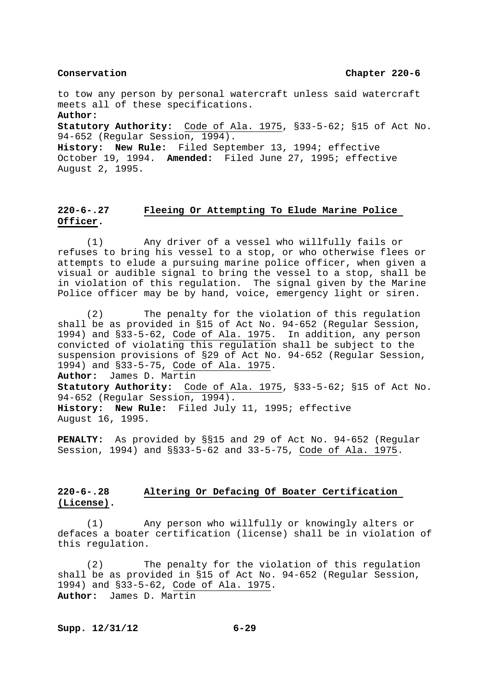to tow any person by personal watercraft unless said watercraft meets all of these specifications. **Author:**

**Statutory Authority:** Code of Ala. 1975, §33-5-62; §15 of Act No. 94-652 (Regular Session, 1994).

**History: New Rule:** Filed September 13, 1994; effective October 19, 1994. **Amended:** Filed June 27, 1995; effective August 2, 1995.

# **220-6-.27 Fleeing Or Attempting To Elude Marine Police Officer.**

 (1) Any driver of a vessel who willfully fails or refuses to bring his vessel to a stop, or who otherwise flees or attempts to elude a pursuing marine police officer, when given a visual or audible signal to bring the vessel to a stop, shall be in violation of this regulation. The signal given by the Marine Police officer may be by hand, voice, emergency light or siren.

 (2) The penalty for the violation of this regulation shall be as provided in §15 of Act No. 94-652 (Regular Session, 1994) and §33-5-62, Code of Ala. 1975. In addition, any person convicted of violating this regulation shall be subject to the suspension provisions of §29 of Act No. 94-652 (Regular Session, 1994) and §33-5-75, Code of Ala. 1975. **Author:** James D. Martin **Statutory Authority:** Code of Ala. 1975, §33-5-62; §15 of Act No. 94-652 (Regular Session, 1994). **History: New Rule:** Filed July 11, 1995; effective August 16, 1995.

**PENALTY:** As provided by §§15 and 29 of Act No. 94-652 (Regular Session, 1994) and §§33-5-62 and 33-5-75, Code of Ala. 1975.

# **220-6-.28 Altering Or Defacing Of Boater Certification (License).**

 (1) Any person who willfully or knowingly alters or defaces a boater certification (license) shall be in violation of this regulation.

 (2) The penalty for the violation of this regulation shall be as provided in §15 of Act No. 94-652 (Regular Session, 1994) and §33-5-62, Code of Ala. 1975. **Author:** James D. Martin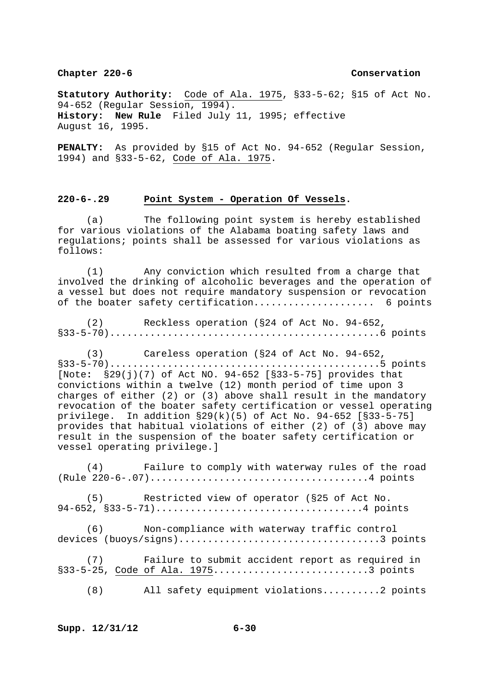**Statutory Authority:** Code of Ala. 1975, §33-5-62; §15 of Act No. 94-652 (Regular Session, 1994). **History: New Rule** Filed July 11, 1995; effective August 16, 1995.

**PENALTY:** As provided by §15 of Act No. 94-652 (Regular Session, 1994) and §33-5-62, Code of Ala. 1975.

## **220-6-.29 Point System - Operation Of Vessels.**

 (a) The following point system is hereby established for various violations of the Alabama boating safety laws and regulations; points shall be assessed for various violations as follows:

 (1) Any conviction which resulted from a charge that involved the drinking of alcoholic beverages and the operation of a vessel but does not require mandatory suspension or revocation of the boater safety certification..................... 6 points

 (2) Reckless operation (§24 of Act No. 94-652, §33-5-70)...............................................6 points

 (3) Careless operation (§24 of Act No. 94-652, §33-5-70)...............................................5 points [Note**:** §29(j)(7) of Act NO. 94-652 [§33-5-75] provides that convictions within a twelve (12) month period of time upon 3 charges of either (2) or (3) above shall result in the mandatory revocation of the boater safety certification or vessel operating privilege. In addition §29(k)(5) of Act No. 94-652 [§33-5-75] provides that habitual violations of either (2) of (3) above may result in the suspension of the boater safety certification or vessel operating privilege.]

 (4) Failure to comply with waterway rules of the road (Rule 220-6-.07)......................................4 points

 (5) Restricted view of operator (§25 of Act No. 94-652, §33-5-71)....................................4 points

 (6) Non-compliance with waterway traffic control devices (buoys/signs)...................................3 points

 (7) Failure to submit accident report as required in §33-5-25, Code of Ala. 1975...................................3 points

(8) All safety equipment violations..........2 points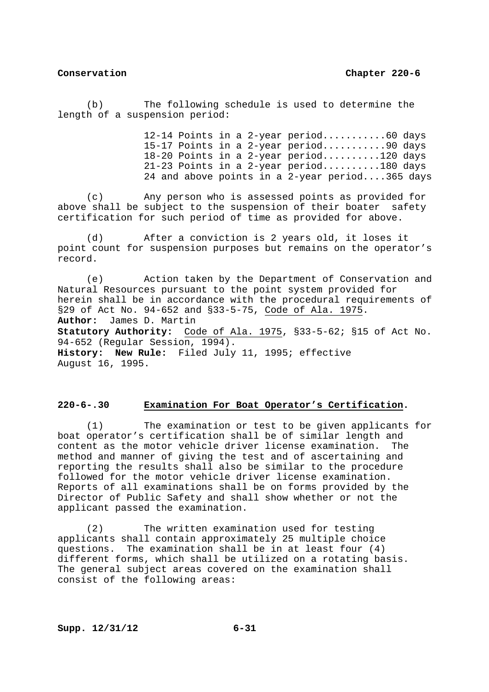(b) The following schedule is used to determine the length of a suspension period:

> 12-14 Points in a 2-year period...........60 days 15-17 Points in a 2-year period...........90 days 18-20 Points in a 2-year period..........120 days 21-23 Points in a 2-year period..........180 days 24 and above points in a 2-year period....365 days

 (c) Any person who is assessed points as provided for above shall be subject to the suspension of their boater safety certification for such period of time as provided for above.

 (d) After a conviction is 2 years old, it loses it point count for suspension purposes but remains on the operator's record.

 (e) Action taken by the Department of Conservation and Natural Resources pursuant to the point system provided for herein shall be in accordance with the procedural requirements of §29 of Act No. 94-652 and §33-5-75, Code of Ala. 1975. **Author:** James D. Martin **Statutory Authority:** Code of Ala. 1975, §33-5-62; §15 of Act No. 94-652 (Regular Session, 1994). **History: New Rule:** Filed July 11, 1995; effective August 16, 1995.

# **220-6-.30 Examination For Boat Operator's Certification.**

 (1) The examination or test to be given applicants for boat operator's certification shall be of similar length and content as the motor vehicle driver license examination. The method and manner of giving the test and of ascertaining and reporting the results shall also be similar to the procedure followed for the motor vehicle driver license examination. Reports of all examinations shall be on forms provided by the Director of Public Safety and shall show whether or not the applicant passed the examination.

 (2) The written examination used for testing applicants shall contain approximately 25 multiple choice questions. The examination shall be in at least four (4) different forms, which shall be utilized on a rotating basis. The general subject areas covered on the examination shall consist of the following areas: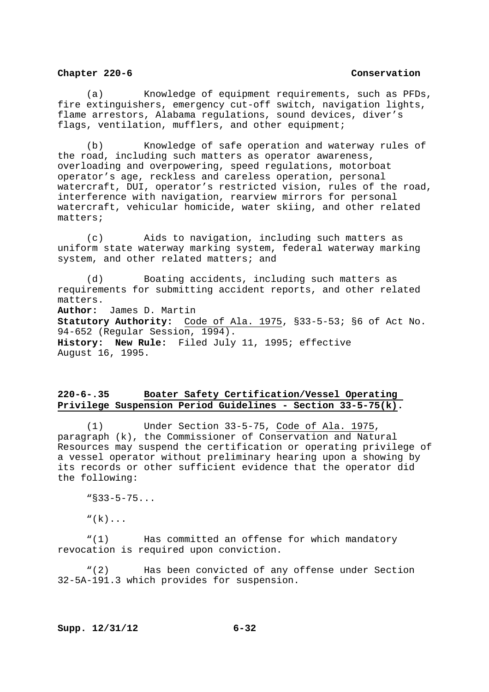(a) Knowledge of equipment requirements, such as PFDs, fire extinguishers, emergency cut-off switch, navigation lights, flame arrestors, Alabama regulations, sound devices, diver's flags, ventilation, mufflers, and other equipment;

 (b) Knowledge of safe operation and waterway rules of the road, including such matters as operator awareness, overloading and overpowering, speed regulations, motorboat operator's age, reckless and careless operation, personal watercraft, DUI, operator's restricted vision, rules of the road, interference with navigation, rearview mirrors for personal watercraft, vehicular homicide, water skiing, and other related matters;

 (c) Aids to navigation, including such matters as uniform state waterway marking system, federal waterway marking system, and other related matters; and

 (d) Boating accidents, including such matters as requirements for submitting accident reports, and other related matters. **Author:** James D. Martin **Statutory Authority:** Code of Ala. 1975, §33-5-53; §6 of Act No. 94-652 (Regular Session, 1994). **History: New Rule:** Filed July 11, 1995; effective August 16, 1995.

# **220-6-.35 Boater Safety Certification/Vessel Operating Privilege Suspension Period Guidelines - Section 33-5-75(k).**

 (1) Under Section 33-5-75, Code of Ala. 1975, paragraph (k), the Commissioner of Conservation and Natural Resources may suspend the certification or operating privilege of a vessel operator without preliminary hearing upon a showing by its records or other sufficient evidence that the operator did the following:

"§33-5-75...

 $``(k)$ ...

 "(1) Has committed an offense for which mandatory revocation is required upon conviction.

 "(2) Has been convicted of any offense under Section 32-5A-191.3 which provides for suspension.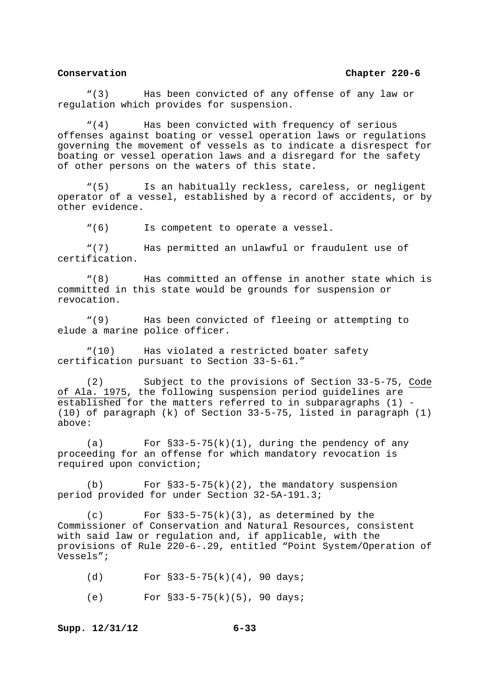"(3) Has been convicted of any offense of any law or regulation which provides for suspension.

 "(4) Has been convicted with frequency of serious offenses against boating or vessel operation laws or regulations governing the movement of vessels as to indicate a disrespect for boating or vessel operation laws and a disregard for the safety of other persons on the waters of this state.

 "(5) Is an habitually reckless, careless, or negligent operator of a vessel, established by a record of accidents, or by other evidence.

"(6) Is competent to operate a vessel.

 "(7) Has permitted an unlawful or fraudulent use of certification.

 "(8) Has committed an offense in another state which is committed in this state would be grounds for suspension or revocation.

 "(9) Has been convicted of fleeing or attempting to elude a marine police officer.

 "(10) Has violated a restricted boater safety certification pursuant to Section 33-5-61."

Subject to the provisions of Section 33-5-75, Code of Ala. 1975, the following suspension period guidelines are established for the matters referred to in subparagraphs (1) - (10) of paragraph (k) of Section 33-5-75, listed in paragraph (1) above:

(a) For  $\S$ 33-5-75(k)(1), during the pendency of any proceeding for an offense for which mandatory revocation is required upon conviction;

(b) For  $\S33-5-75(k)(2)$ , the mandatory suspension period provided for under Section 32-5A-191.3;

 $(c)$  For  $\S33-5-75(k)(3)$ , as determined by the Commissioner of Conservation and Natural Resources, consistent with said law or regulation and, if applicable, with the provisions of Rule 220-6-.29, entitled "Point System/Operation of Vessels";

(d) For  $§33-5-75(k)(4)$ , 90 days;

(e) For §33-5-75(k)(5), 90 days;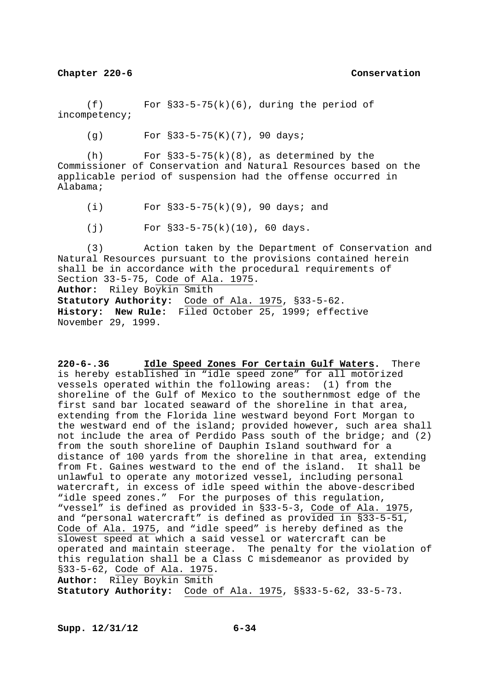$(f)$  For  $\S33-5-75(k)(6)$ , during the period of incompetency;

(g) For §33-5-75(K)(7), 90 days;

(h) For  $\S33-5-75(k)(8)$ , as determined by the Commissioner of Conservation and Natural Resources based on the applicable period of suspension had the offense occurred in Alabama;

(i) For §33-5-75(k)(9), 90 days; and

(j) For §33-5-75(k)(10), 60 days.

 (3) Action taken by the Department of Conservation and Natural Resources pursuant to the provisions contained herein shall be in accordance with the procedural requirements of Section 33-5-75, Code of Ala. 1975. **Author:** Riley Boykin Smith **Statutory Authority:** Code of Ala. 1975, §33-5-62.

**History: New Rule:** Filed October 25, 1999; effective November 29, 1999.

**220-6-.36 Idle Speed Zones For Certain Gulf Waters.** There is hereby established in "idle speed zone" for all motorized vessels operated within the following areas: (1) from the shoreline of the Gulf of Mexico to the southernmost edge of the first sand bar located seaward of the shoreline in that area, extending from the Florida line westward beyond Fort Morgan to the westward end of the island; provided however, such area shall not include the area of Perdido Pass south of the bridge; and (2) from the south shoreline of Dauphin Island southward for a distance of 100 yards from the shoreline in that area, extending from Ft. Gaines westward to the end of the island. It shall be unlawful to operate any motorized vessel, including personal watercraft, in excess of idle speed within the above-described "idle speed zones." For the purposes of this regulation, "vessel" is defined as provided in §33-5-3, Code of Ala. 1975, and "personal watercraft" is defined as provided in §33-5-51, Code of Ala. 1975, and "idle speed" is hereby defined as the slowest speed at which a said vessel or watercraft can be operated and maintain steerage. The penalty for the violation of this regulation shall be a Class C misdemeanor as provided by §33-5-62, Code of Ala. 1975. **Author:** Riley Boykin Smith

**Statutory Authority:** Code of Ala. 1975, §§33-5-62, 33-5-73.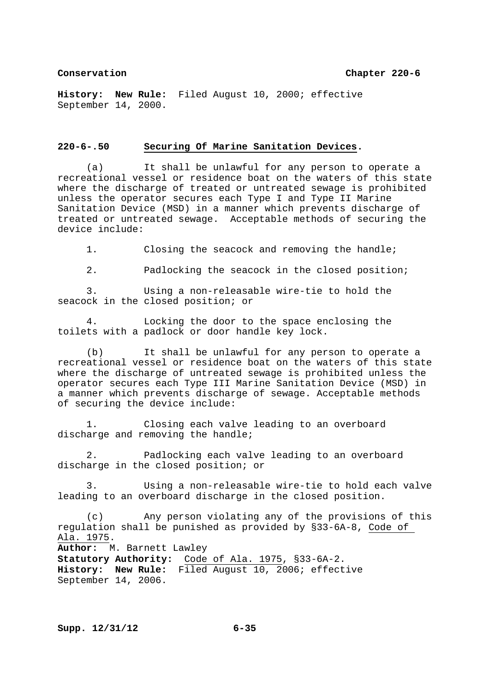**History: New Rule:** Filed August 10, 2000; effective September 14, 2000.

### **220-6-.50 Securing Of Marine Sanitation Devices.**

 (a) It shall be unlawful for any person to operate a recreational vessel or residence boat on the waters of this state where the discharge of treated or untreated sewage is prohibited unless the operator secures each Type I and Type II Marine Sanitation Device (MSD) in a manner which prevents discharge of treated or untreated sewage. Acceptable methods of securing the device include:

1. Closing the seacock and removing the handle;

2. Padlocking the seacock in the closed position;

 3. Using a non-releasable wire-tie to hold the seacock in the closed position; or

 4. Locking the door to the space enclosing the toilets with a padlock or door handle key lock.

 (b) It shall be unlawful for any person to operate a recreational vessel or residence boat on the waters of this state where the discharge of untreated sewage is prohibited unless the operator secures each Type III Marine Sanitation Device (MSD) in a manner which prevents discharge of sewage. Acceptable methods of securing the device include:

 1. Closing each valve leading to an overboard discharge and removing the handle;

 2. Padlocking each valve leading to an overboard discharge in the closed position; or

 3. Using a non-releasable wire-tie to hold each valve leading to an overboard discharge in the closed position.

 (c) Any person violating any of the provisions of this regulation shall be punished as provided by §33-6A-8, Code of Ala. 1975. **Author:** M. Barnett Lawley **Statutory Authority:** Code of Ala. 1975, §33-6A-2.

**History: New Rule:** Filed August 10, 2006; effective September 14, 2006.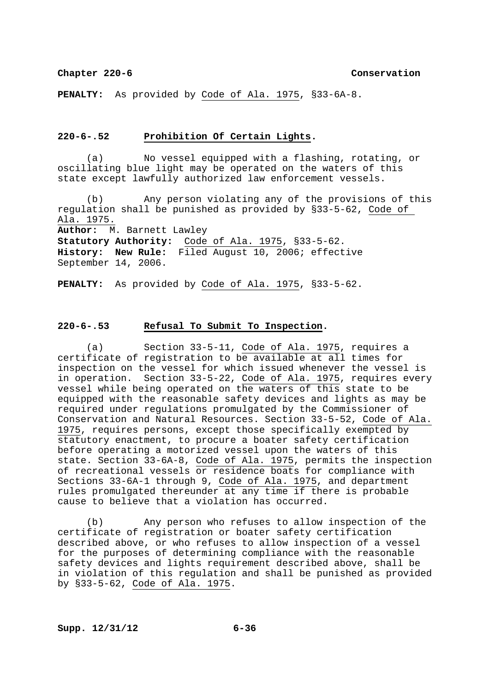**PENALTY:** As provided by Code of Ala. 1975, §33-6A-8.

### **220-6-.52 Prohibition Of Certain Lights.**

 (a) No vessel equipped with a flashing, rotating, or oscillating blue light may be operated on the waters of this state except lawfully authorized law enforcement vessels.

 (b) Any person violating any of the provisions of this regulation shall be punished as provided by §33-5-62, Code of Ala. 1975.

**Author:** M. Barnett Lawley

**Statutory Authority:** Code of Ala. 1975, §33-5-62. **History: New Rule:** Filed August 10, 2006; effective September 14, 2006.

**PENALTY:** As provided by Code of Ala. 1975, §33-5-62.

## **220-6-.53 Refusal To Submit To Inspection.**

 (a) Section 33-5-11, Code of Ala. 1975, requires a certificate of registration to be available at all times for inspection on the vessel for which issued whenever the vessel is in operation. Section 33-5-22, Code of Ala. 1975, requires every vessel while being operated on the waters of this state to be equipped with the reasonable safety devices and lights as may be required under regulations promulgated by the Commissioner of Conservation and Natural Resources. Section 33-5-52, Code of Ala. 1975, requires persons, except those specifically exempted by statutory enactment, to procure a boater safety certification before operating a motorized vessel upon the waters of this state. Section 33-6A-8, Code of Ala. 1975, permits the inspection of recreational vessels or residence boats for compliance with Sections 33-6A-1 through 9, Code of Ala. 1975, and department rules promulgated thereunder at any time if there is probable cause to believe that a violation has occurred.

 (b) Any person who refuses to allow inspection of the certificate of registration or boater safety certification described above, or who refuses to allow inspection of a vessel for the purposes of determining compliance with the reasonable safety devices and lights requirement described above, shall be in violation of this regulation and shall be punished as provided by §33-5-62, Code of Ala. 1975.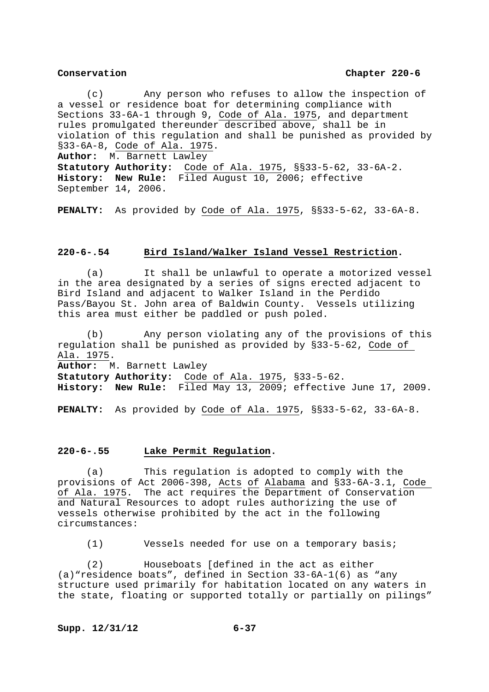(c) Any person who refuses to allow the inspection of a vessel or residence boat for determining compliance with Sections  $33-6A-1$  through 9, Code of Ala. 1975, and department rules promulgated thereunder described above, shall be in violation of this regulation and shall be punished as provided by §33-6A-8, Code of Ala. 1975. **Author:** M. Barnett Lawley

**Statutory Authority:** Code of Ala. 1975, §§33-5-62, 33-6A-2. **History: New Rule:** Filed August 10, 2006; effective September 14, 2006.

**PENALTY:** As provided by Code of Ala. 1975, §§33-5-62, 33-6A-8.

# **220-6-.54 Bird Island/Walker Island Vessel Restriction.**

 (a) It shall be unlawful to operate a motorized vessel in the area designated by a series of signs erected adjacent to Bird Island and adjacent to Walker Island in the Perdido Pass/Bayou St. John area of Baldwin County. Vessels utilizing this area must either be paddled or push poled.

 (b) Any person violating any of the provisions of this regulation shall be punished as provided by §33-5-62, Code of Ala. 1975. **Author:** M. Barnett Lawley **Statutory Authority:** Code of Ala. 1975, §33-5-62. **History: New Rule:** Filed May 13, 2009; effective June 17, 2009.

**PENALTY:** As provided by Code of Ala. 1975, §§33-5-62, 33-6A-8.

### **220-6-.55 Lake Permit Regulation.**

 (a) This regulation is adopted to comply with the provisions of Act 2006-398, Acts of Alabama and §33-6A-3.1, Code of Ala. 1975. The act requires the Department of Conservation and Natural Resources to adopt rules authorizing the use of vessels otherwise prohibited by the act in the following circumstances:

(1) Vessels needed for use on a temporary basis;

 (2) Houseboats [defined in the act as either (a)"residence boats", defined in Section 33-6A-1(6) as "any structure used primarily for habitation located on any waters in the state, floating or supported totally or partially on pilings"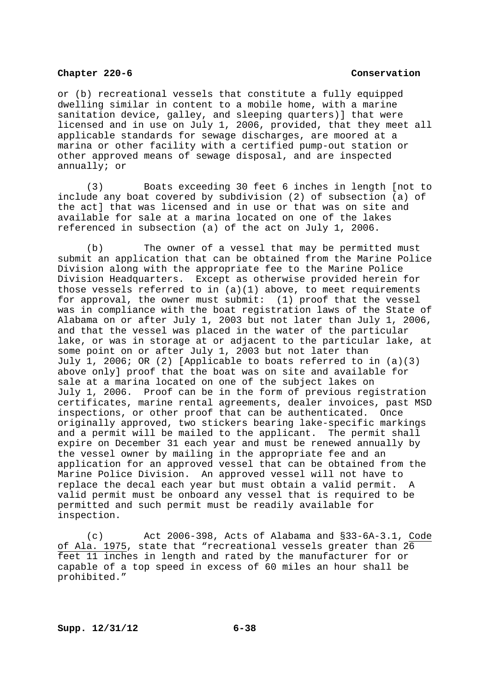or (b) recreational vessels that constitute a fully equipped dwelling similar in content to a mobile home, with a marine sanitation device, galley, and sleeping quarters)] that were licensed and in use on July 1, 2006, provided, that they meet all applicable standards for sewage discharges, are moored at a marina or other facility with a certified pump-out station or other approved means of sewage disposal, and are inspected annually; or

 (3) Boats exceeding 30 feet 6 inches in length [not to include any boat covered by subdivision (2) of subsection (a) of the act] that was licensed and in use or that was on site and available for sale at a marina located on one of the lakes referenced in subsection (a) of the act on July 1, 2006.

 (b) The owner of a vessel that may be permitted must submit an application that can be obtained from the Marine Police Division along with the appropriate fee to the Marine Police Division Headquarters. Except as otherwise provided herein for those vessels referred to in (a)(1) above, to meet requirements for approval, the owner must submit: (1) proof that the vessel was in compliance with the boat registration laws of the State of Alabama on or after July 1, 2003 but not later than July 1, 2006, and that the vessel was placed in the water of the particular lake, or was in storage at or adjacent to the particular lake, at some point on or after July 1, 2003 but not later than July 1, 2006; OR (2) [Applicable to boats referred to in (a)(3) above only] proof that the boat was on site and available for sale at a marina located on one of the subject lakes on July 1, 2006. Proof can be in the form of previous registration certificates, marine rental agreements, dealer invoices, past MSD inspections, or other proof that can be authenticated. Once originally approved, two stickers bearing lake-specific markings and a permit will be mailed to the applicant. The permit shall expire on December 31 each year and must be renewed annually by the vessel owner by mailing in the appropriate fee and an application for an approved vessel that can be obtained from the Marine Police Division. An approved vessel will not have to replace the decal each year but must obtain a valid permit. A valid permit must be onboard any vessel that is required to be permitted and such permit must be readily available for inspection.

 (c) Act 2006-398, Acts of Alabama and §33-6A-3.1, Code of Ala. 1975, state that "recreational vessels greater than 26 feet 11 inches in length and rated by the manufacturer for or capable of a top speed in excess of 60 miles an hour shall be prohibited."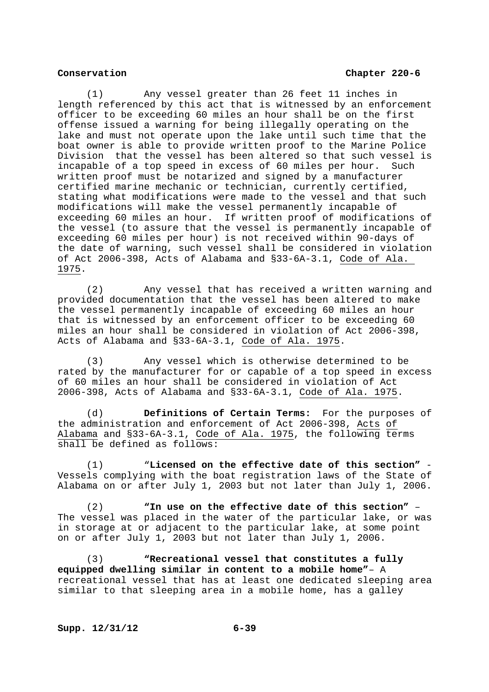(1) Any vessel greater than 26 feet 11 inches in length referenced by this act that is witnessed by an enforcement officer to be exceeding 60 miles an hour shall be on the first offense issued a warning for being illegally operating on the lake and must not operate upon the lake until such time that the boat owner is able to provide written proof to the Marine Police Division that the vessel has been altered so that such vessel is incapable of a top speed in excess of 60 miles per hour. Such written proof must be notarized and signed by a manufacturer certified marine mechanic or technician, currently certified, stating what modifications were made to the vessel and that such modifications will make the vessel permanently incapable of exceeding 60 miles an hour. If written proof of modifications of the vessel (to assure that the vessel is permanently incapable of exceeding 60 miles per hour) is not received within 90-days of the date of warning, such vessel shall be considered in violation of Act 2006-398, Acts of Alabama and §33-6A-3.1, Code of Ala. 1975.

 (2) Any vessel that has received a written warning and provided documentation that the vessel has been altered to make the vessel permanently incapable of exceeding 60 miles an hour that is witnessed by an enforcement officer to be exceeding 60 miles an hour shall be considered in violation of Act 2006-398, Acts of Alabama and §33-6A-3.1, Code of Ala. 1975.

 (3) Any vessel which is otherwise determined to be rated by the manufacturer for or capable of a top speed in excess of 60 miles an hour shall be considered in violation of Act 2006-398, Acts of Alabama and §33-6A-3.1, Code of Ala. 1975.

 (d) **Definitions of Certain Terms:** For the purposes of the administration and enforcement of Act 2006-398, Acts of Alabama and §33-6A-3.1, Code of Ala. 1975, the following terms shall be defined as follows:

 (1) "**Licensed on the effective date of this section"** - Vessels complying with the boat registration laws of the State of Alabama on or after July 1, 2003 but not later than July 1, 2006.

 (2) **"In use on the effective date of this section"** – The vessel was placed in the water of the particular lake, or was in storage at or adjacent to the particular lake, at some point on or after July 1, 2003 but not later than July 1, 2006.

 (3) **"Recreational vessel that constitutes a fully equipped dwelling similar in content to a mobile home"**– A recreational vessel that has at least one dedicated sleeping area similar to that sleeping area in a mobile home, has a galley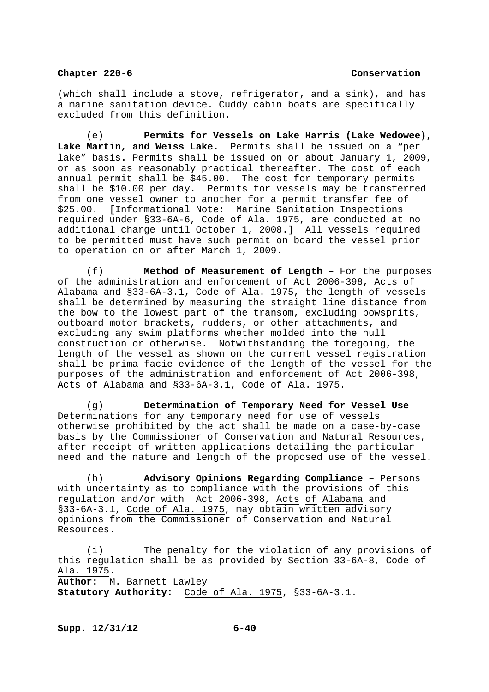(which shall include a stove, refrigerator, and a sink), and has a marine sanitation device. Cuddy cabin boats are specifically excluded from this definition.

 (e) **Permits for Vessels on Lake Harris (Lake Wedowee), Lake Martin, and Weiss Lake.** Permits shall be issued on a "per lake" basis**.** Permits shall be issued on or about January 1, 2009, or as soon as reasonably practical thereafter. The cost of each annual permit shall be \$45.00. The cost for temporary permits shall be \$10.00 per day. Permits for vessels may be transferred from one vessel owner to another for a permit transfer fee of \$25.00. [Informational Note: Marine Sanitation Inspections required under §33-6A-6, Code of Ala. 1975, are conducted at no additional charge until October 1, 2008.] All vessels required to be permitted must have such permit on board the vessel prior to operation on or after March 1, 2009.

(f) **Method of Measurement of Length –** For the purposes of the administration and enforcement of Act 2006-398, Acts of Alabama and §33-6A-3.1, Code of Ala. 1975, the length of vessels shall be determined by measuring the straight line distance from the bow to the lowest part of the transom, excluding bowsprits, outboard motor brackets, rudders, or other attachments, and excluding any swim platforms whether molded into the hull construction or otherwise. Notwithstanding the foregoing, the length of the vessel as shown on the current vessel registration shall be prima facie evidence of the length of the vessel for the purposes of the administration and enforcement of Act 2006-398, Acts of Alabama and §33-6A-3.1, Code of Ala. 1975.

 (g) **Determination of Temporary Need for Vessel Use** – Determinations for any temporary need for use of vessels otherwise prohibited by the act shall be made on a case-by-case basis by the Commissioner of Conservation and Natural Resources, after receipt of written applications detailing the particular need and the nature and length of the proposed use of the vessel.

 (h) **Advisory Opinions Regarding Compliance** – Persons with uncertainty as to compliance with the provisions of this regulation and/or with Act 2006-398, Acts of Alabama and §33-6A-3.1, Code of Ala. 1975, may obtain written advisory opinions from the Commissioner of Conservation and Natural Resources.

 (i) The penalty for the violation of any provisions of this regulation shall be as provided by Section 33-6A-8, Code of Ala. 1975. **Author:** M. Barnett Lawley **Statutory Authority:** Code of Ala. 1975, §33-6A-3.1.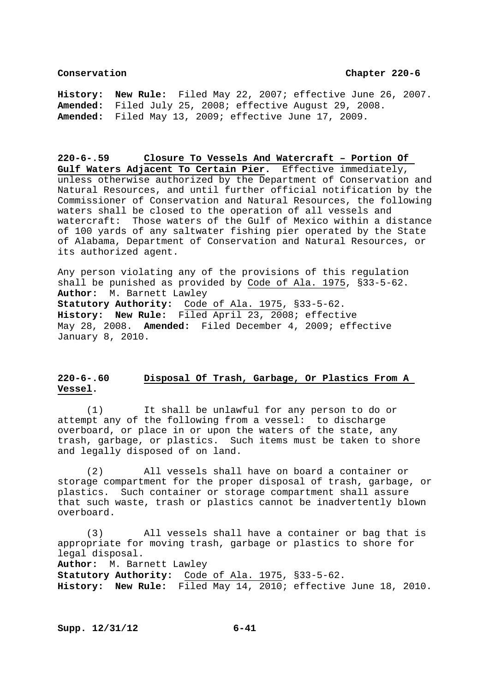**History: New Rule:** Filed May 22, 2007; effective June 26, 2007. **Amended:** Filed July 25, 2008; effective August 29, 2008. **Amended:** Filed May 13, 2009; effective June 17, 2009.

**220-6-.59 Closure To Vessels And Watercraft – Portion Of Gulf Waters Adjacent To Certain Pier.** Effective immediately, unless otherwise authorized by the Department of Conservation and Natural Resources, and until further official notification by the Commissioner of Conservation and Natural Resources, the following waters shall be closed to the operation of all vessels and watercraft: Those waters of the Gulf of Mexico within a distance of 100 yards of any saltwater fishing pier operated by the State of Alabama, Department of Conservation and Natural Resources, or its authorized agent.

Any person violating any of the provisions of this regulation shall be punished as provided by Code of Ala. 1975, §33-5-62. **Author:** M. Barnett Lawley **Statutory Authority:** Code of Ala. 1975, §33-5-62. **History: New Rule:** Filed April 23, 2008; effective May 28, 2008. **Amended:** Filed December 4, 2009; effective January 8, 2010.

# **220-6-.60 Disposal Of Trash, Garbage, Or Plastics From A Vessel.**

 (1) It shall be unlawful for any person to do or attempt any of the following from a vessel: to discharge overboard, or place in or upon the waters of the state, any trash, garbage, or plastics. Such items must be taken to shore and legally disposed of on land.

 (2) All vessels shall have on board a container or storage compartment for the proper disposal of trash, garbage, or plastics. Such container or storage compartment shall assure that such waste, trash or plastics cannot be inadvertently blown overboard.

 (3) All vessels shall have a container or bag that is appropriate for moving trash, garbage or plastics to shore for legal disposal.

**Author:** M. Barnett Lawley

**Statutory Authority:** Code of Ala. 1975, §33-5-62. **History: New Rule:** Filed May 14, 2010; effective June 18, 2010.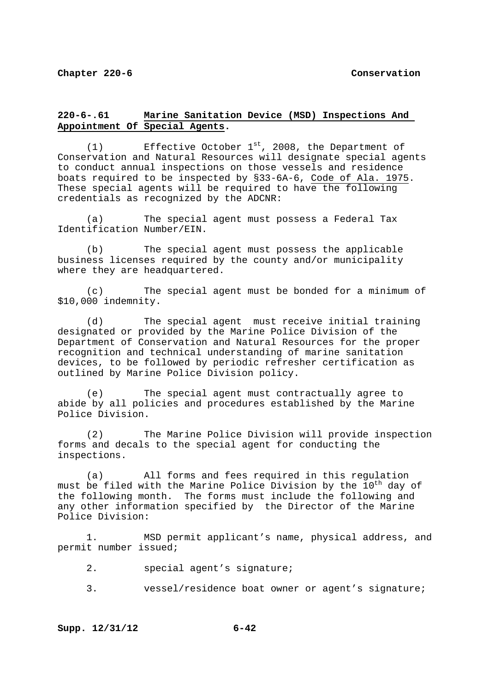# **220-6-.61 Marine Sanitation Device (MSD) Inspections And Appointment Of Special Agents.**

(1) Effective October  $1^{st}$ , 2008, the Department of Conservation and Natural Resources will designate special agents to conduct annual inspections on those vessels and residence boats required to be inspected by §33-6A-6, Code of Ala. 1975. These special agents will be required to have the following credentials as recognized by the ADCNR:

 (a) The special agent must possess a Federal Tax Identification Number/EIN.

 (b) The special agent must possess the applicable business licenses required by the county and/or municipality where they are headquartered.

 (c) The special agent must be bonded for a minimum of \$10,000 indemnity.

 (d) The special agent must receive initial training designated or provided by the Marine Police Division of the Department of Conservation and Natural Resources for the proper recognition and technical understanding of marine sanitation devices, to be followed by periodic refresher certification as outlined by Marine Police Division policy.

 (e) The special agent must contractually agree to abide by all policies and procedures established by the Marine Police Division.

 (2) The Marine Police Division will provide inspection forms and decals to the special agent for conducting the inspections.

 (a) All forms and fees required in this regulation must be filed with the Marine Police Division by the  $10^{th}$  day of the following month. The forms must include the following and any other information specified by the Director of the Marine Police Division:

 1. MSD permit applicant's name, physical address, and permit number issued;

- 2. special agent's signature;
- 3. vessel/residence boat owner or agent's signature;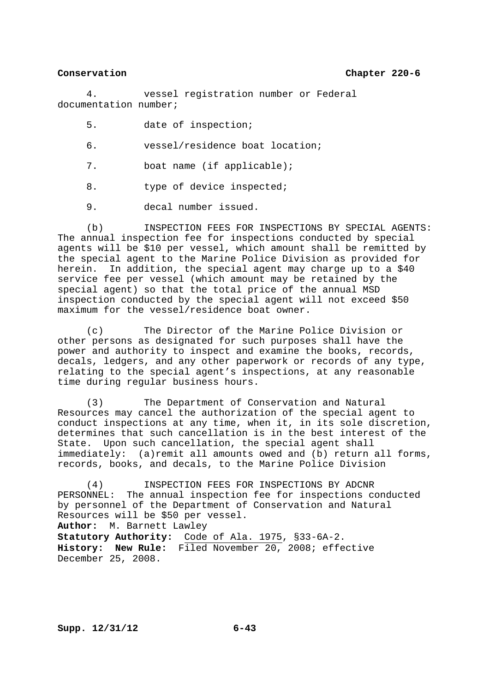4. vessel registration number or Federal documentation number;

- 5. date of inspection;
- 6. vessel/residence boat location;
- 7. boat name (if applicable);
- 8. type of device inspected;
- 9. decal number issued.

 (b) INSPECTION FEES FOR INSPECTIONS BY SPECIAL AGENTS: The annual inspection fee for inspections conducted by special agents will be \$10 per vessel, which amount shall be remitted by the special agent to the Marine Police Division as provided for herein. In addition, the special agent may charge up to a \$40 service fee per vessel (which amount may be retained by the special agent) so that the total price of the annual MSD inspection conducted by the special agent will not exceed \$50 maximum for the vessel/residence boat owner.

 (c) The Director of the Marine Police Division or other persons as designated for such purposes shall have the power and authority to inspect and examine the books, records, decals, ledgers, and any other paperwork or records of any type, relating to the special agent's inspections, at any reasonable time during regular business hours.

 (3) The Department of Conservation and Natural Resources may cancel the authorization of the special agent to conduct inspections at any time, when it, in its sole discretion, determines that such cancellation is in the best interest of the State. Upon such cancellation, the special agent shall immediately: (a)remit all amounts owed and (b) return all forms, records, books, and decals, to the Marine Police Division

 (4) INSPECTION FEES FOR INSPECTIONS BY ADCNR PERSONNEL: The annual inspection fee for inspections conducted by personnel of the Department of Conservation and Natural Resources will be \$50 per vessel. **Author:** M. Barnett Lawley **Statutory Authority:** Code of Ala. 1975, §33-6A-2. **History: New Rule:** Filed November 20, 2008; effective December 25, 2008.